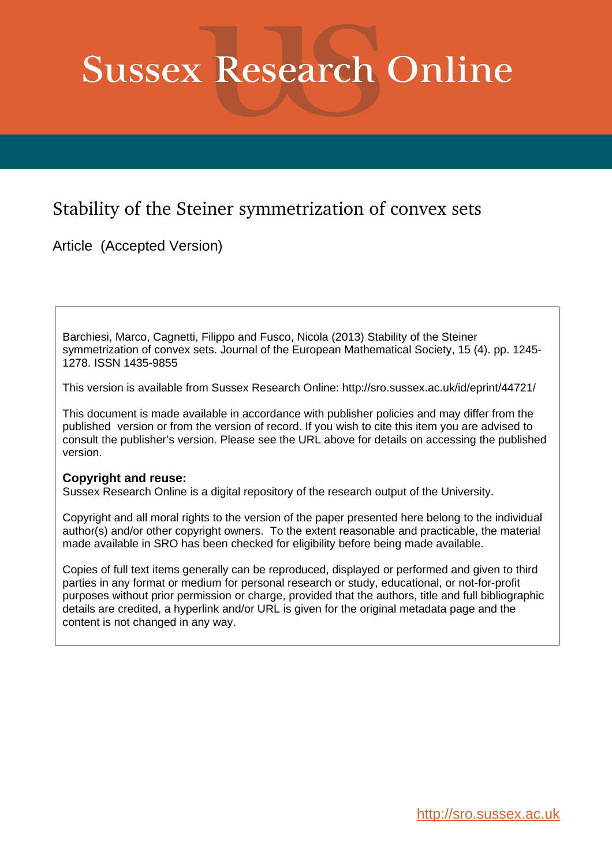# **Sussex Research Online**

# Stability of the Steiner symmetrization of convex sets

Article (Accepted Version)

Barchiesi, Marco, Cagnetti, Filippo and Fusco, Nicola (2013) Stability of the Steiner symmetrization of convex sets. Journal of the European Mathematical Society, 15 (4). pp. 1245- 1278. ISSN 1435-9855

This version is available from Sussex Research Online: http://sro.sussex.ac.uk/id/eprint/44721/

This document is made available in accordance with publisher policies and may differ from the published version or from the version of record. If you wish to cite this item you are advised to consult the publisher's version. Please see the URL above for details on accessing the published version.

## **Copyright and reuse:**

Sussex Research Online is a digital repository of the research output of the University.

Copyright and all moral rights to the version of the paper presented here belong to the individual author(s) and/or other copyright owners. To the extent reasonable and practicable, the material made available in SRO has been checked for eligibility before being made available.

Copies of full text items generally can be reproduced, displayed or performed and given to third parties in any format or medium for personal research or study, educational, or not-for-profit purposes without prior permission or charge, provided that the authors, title and full bibliographic details are credited, a hyperlink and/or URL is given for the original metadata page and the content is not changed in any way.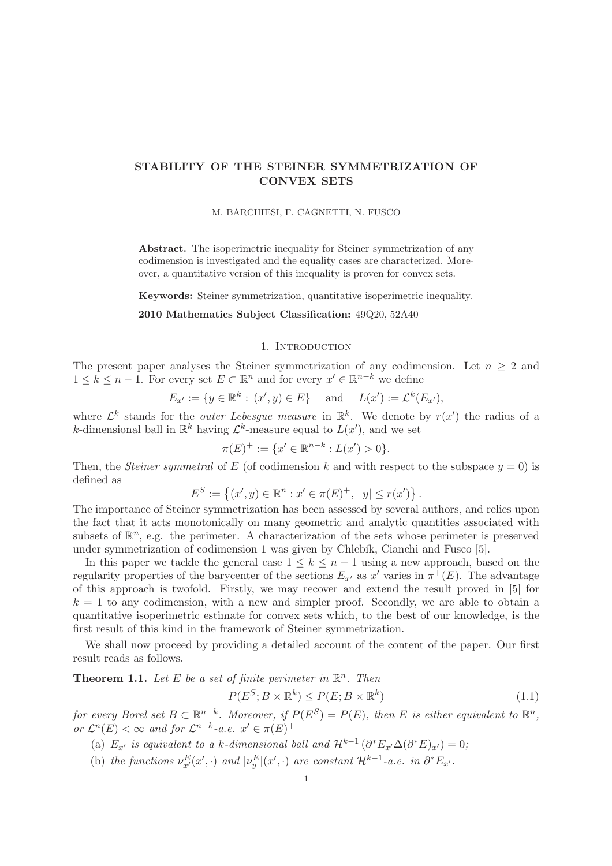### STABILITY OF THE STEINER SYMMETRIZATION OF CONVEX SETS

#### M. BARCHIESI, F. CAGNETTI, N. FUSCO

Abstract. The isoperimetric inequality for Steiner symmetrization of any codimension is investigated and the equality cases are characterized. Moreover, a quantitative version of this inequality is proven for convex sets.

Keywords: Steiner symmetrization, quantitative isoperimetric inequality.

#### 2010 Mathematics Subject Classification: 49Q20, 52A40

#### 1. INTRODUCTION

The present paper analyses the Steiner symmetrization of any codimension. Let  $n \geq 2$  and  $1 \leq k \leq n-1$ . For every set  $E \subset \mathbb{R}^n$  and for every  $x' \in \mathbb{R}^{n-k}$  we define

$$
E_{x'} := \{ y \in \mathbb{R}^k : (x', y) \in E \}
$$
 and  $L(x') := \mathcal{L}^k(E_{x'})$ ,

where  $\mathcal{L}^k$  stands for the *outer Lebesgue measure* in  $\mathbb{R}^k$ . We denote by  $r(x')$  the radius of a k-dimensional ball in  $\mathbb{R}^k$  having  $\mathcal{L}^k$ -measure equal to  $L(x')$ , and we set

$$
\pi(E)^{+} := \{x' \in \mathbb{R}^{n-k} : L(x') > 0\}.
$$

Then, the *Steiner symmetral* of E (of codimension k and with respect to the subspace  $y = 0$ ) is defined as

$$
E^{S} := \left\{ (x', y) \in \mathbb{R}^{n} : x' \in \pi(E)^{+}, \ |y| \leq r(x') \right\}.
$$

The importance of Steiner symmetrization has been assessed by several authors, and relies upon the fact that it acts monotonically on many geometric and analytic quantities associated with subsets of  $\mathbb{R}^n$ , e.g. the perimeter. A characterization of the sets whose perimeter is preserved under symmetrization of codimension 1 was given by Chlebík, Cianchi and Fusco [5].

In this paper we tackle the general case  $1 \leq k \leq n-1$  using a new approach, based on the regularity properties of the barycenter of the sections  $E_{x'}$  as  $x'$  varies in  $\pi^+(E)$ . The advantage of this approach is twofold. Firstly, we may recover and extend the result proved in [5] for  $k = 1$  to any codimension, with a new and simpler proof. Secondly, we are able to obtain a quantitative isoperimetric estimate for convex sets which, to the best of our knowledge, is the first result of this kind in the framework of Steiner symmetrization.

We shall now proceed by providing a detailed account of the content of the paper. Our first result reads as follows.

**Theorem 1.1.** Let E be a set of finite perimeter in  $\mathbb{R}^n$ . Then

$$
P(E^S; B \times \mathbb{R}^k) \le P(E; B \times \mathbb{R}^k)
$$
\n(1.1)

for every Borel set  $B \subset \mathbb{R}^{n-k}$ . Moreover, if  $P(E^S) = P(E)$ , then E is either equivalent to  $\mathbb{R}^n$ , or  $\mathcal{L}^n(E) < \infty$  and for  $\mathcal{L}^{n-k}$ -a.e.  $x' \in \pi(E)^+$ 

(a)  $E_{x'}$  is equivalent to a k-dimensional ball and  $\mathcal{H}^{k-1}(\partial^* E_{x'} \Delta(\partial^* E)_{x'}) = 0;$ 

(b) the functions  $\nu_{x'}^E(x',\cdot)$  and  $|\nu_y^E|(x',\cdot)$  are constant  $\mathcal{H}^{k-1}$ -a.e. in  $\partial^*E_{x'}$ .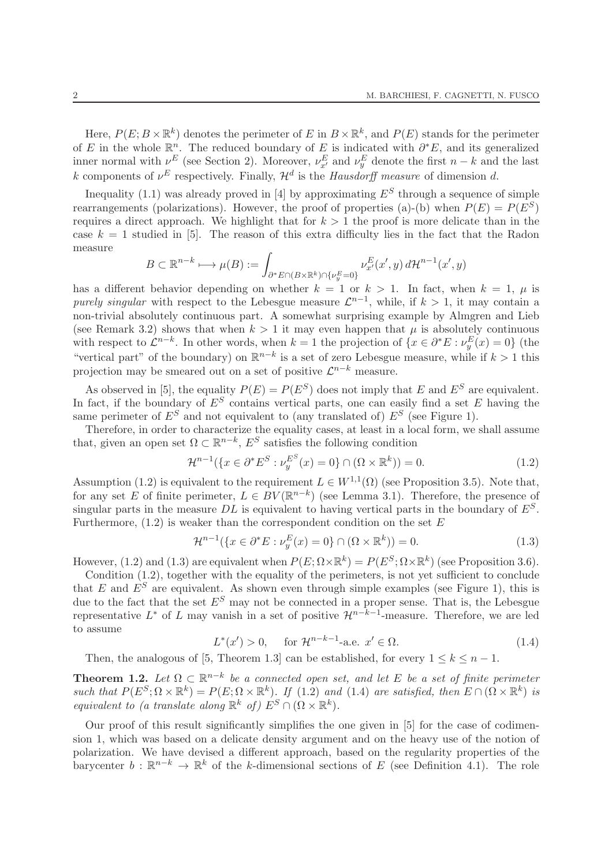Here,  $P(E; B \times \mathbb{R}^k)$  denotes the perimeter of E in  $B \times \mathbb{R}^k$ , and  $P(E)$  stands for the perimeter of E in the whole  $\mathbb{R}^n$ . The reduced boundary of E is indicated with  $\partial^* E$ , and its generalized inner normal with  $\nu^E$  (see Section 2). Moreover,  $\nu^E_{x'}$  and  $\nu^E_y$  denote the first  $n-k$  and the last k components of  $\nu^E$  respectively. Finally,  $\mathcal{H}^d$  is the *Hausdorff measure* of dimension d.

Inequality (1.1) was already proved in [4] by approximating  $E^S$  through a sequence of simple rearrangements (polarizations). However, the proof of properties (a)-(b) when  $P(E) = P(E^S)$ requires a direct approach. We highlight that for  $k > 1$  the proof is more delicate than in the case  $k = 1$  studied in [5]. The reason of this extra difficulty lies in the fact that the Radon measure

$$
B \subset \mathbb{R}^{n-k} \longmapsto \mu(B) := \int_{\partial^* E \cap (B \times \mathbb{R}^k) \cap \{\nu_y^E = 0\}} \nu_{x'}^E(x', y) d\mathcal{H}^{n-1}(x', y)
$$

has a different behavior depending on whether  $k = 1$  or  $k > 1$ . In fact, when  $k = 1$ ,  $\mu$  is purely singular with respect to the Lebesgue measure  $\mathcal{L}^{n-1}$ , while, if  $k > 1$ , it may contain a non-trivial absolutely continuous part. A somewhat surprising example by Almgren and Lieb (see Remark 3.2) shows that when  $k > 1$  it may even happen that  $\mu$  is absolutely continuous with respect to  $\mathcal{L}^{n-k}$ . In other words, when  $k = 1$  the projection of  $\{x \in \partial^* E : \nu_y^E(x) = 0\}$  (the "vertical part" of the boundary) on  $\mathbb{R}^{n-k}$  is a set of zero Lebesgue measure, while if  $k > 1$  this projection may be smeared out on a set of positive  $\mathcal{L}^{n-k}$  measure.

As observed in [5], the equality  $P(E) = P(E^S)$  does not imply that E and  $E^S$  are equivalent. In fact, if the boundary of  $E^S$  contains vertical parts, one can easily find a set E having the same perimeter of  $E^S$  and not equivalent to (any translated of)  $E^S$  (see Figure 1).

Therefore, in order to characterize the equality cases, at least in a local form, we shall assume that, given an open set  $\Omega \subset \mathbb{R}^{n-k}$ ,  $E^S$  satisfies the following condition

$$
\mathcal{H}^{n-1}(\{x \in \partial^* E^S : \nu_y^{E^S}(x) = 0\} \cap (\Omega \times \mathbb{R}^k)) = 0.
$$
 (1.2)

Assumption (1.2) is equivalent to the requirement  $L \in W^{1,1}(\Omega)$  (see Proposition 3.5). Note that, for any set E of finite perimeter,  $L \in BV(\mathbb{R}^{n-k})$  (see Lemma 3.1). Therefore, the presence of singular parts in the measure DL is equivalent to having vertical parts in the boundary of  $E^S$ . Furthermore,  $(1.2)$  is weaker than the correspondent condition on the set E

$$
\mathcal{H}^{n-1}(\{x \in \partial^* E : \nu_y^E(x) = 0\} \cap (\Omega \times \mathbb{R}^k)) = 0.
$$
 (1.3)

However, (1.2) and (1.3) are equivalent when  $P(E; \Omega \times \mathbb{R}^k) = P(E^S; \Omega \times \mathbb{R}^k)$  (see Proposition 3.6).

Condition (1.2), together with the equality of the perimeters, is not yet sufficient to conclude that E and  $E^S$  are equivalent. As shown even through simple examples (see Figure 1), this is due to the fact that the set  $E^S$  may not be connected in a proper sense. That is, the Lebesgue representative  $L^*$  of L may vanish in a set of positive  $\mathcal{H}^{n-k-1}$ -measure. Therefore, we are led to assume

$$
L^*(x') > 0
$$
, for  $\mathcal{H}^{n-k-1}$ -a.e.  $x' \in \Omega$ . (1.4)

Then, the analogous of [5, Theorem 1.3] can be established, for every  $1 \leq k \leq n-1$ .

**Theorem 1.2.** Let  $\Omega \subset \mathbb{R}^{n-k}$  be a connected open set, and let E be a set of finite perimeter such that  $P(E^S;\Omega\times\mathbb{R}^k)=P(E;\Omega\times\mathbb{R}^k)$ . If (1.2) and (1.4) are satisfied, then  $E\cap (\Omega\times\mathbb{R}^k)$  is equivalent to (a translate along  $\mathbb{R}^k$  of)  $E^S \cap (\Omega \times \mathbb{R}^k)$ .

Our proof of this result significantly simplifies the one given in [5] for the case of codimension 1, which was based on a delicate density argument and on the heavy use of the notion of polarization. We have devised a different approach, based on the regularity properties of the barycenter  $b: \mathbb{R}^{n-k} \to \mathbb{R}^k$  of the k-dimensional sections of E (see Definition 4.1). The role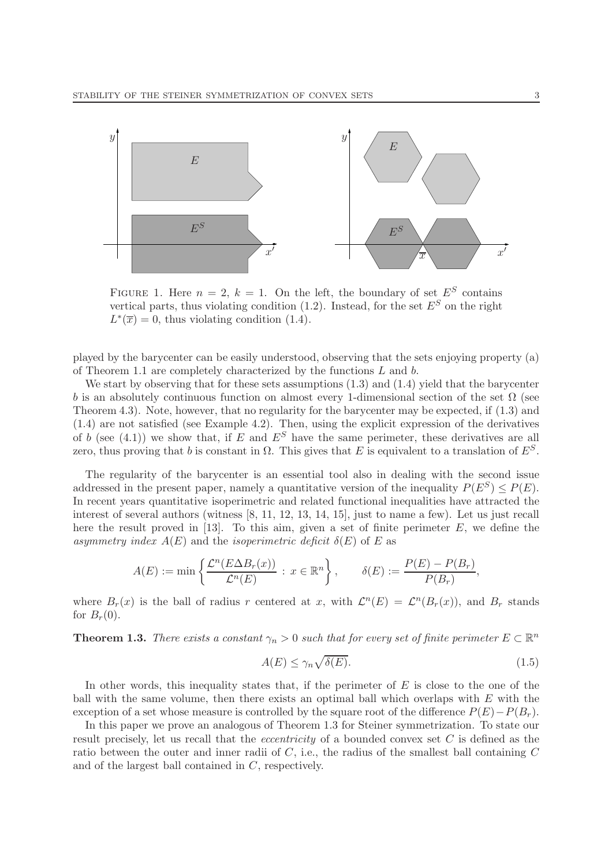

FIGURE 1. Here  $n = 2$ ,  $k = 1$ . On the left, the boundary of set  $E^S$  contains vertical parts, thus violating condition (1.2). Instead, for the set  $E^S$  on the right  $L^*(\overline{x}) = 0$ , thus violating condition (1.4).

played by the barycenter can be easily understood, observing that the sets enjoying property (a) of Theorem 1.1 are completely characterized by the functions L and b.

We start by observing that for these sets assumptions  $(1.3)$  and  $(1.4)$  yield that the barycenter b is an absolutely continuous function on almost every 1-dimensional section of the set  $\Omega$  (see Theorem 4.3). Note, however, that no regularity for the barycenter may be expected, if (1.3) and (1.4) are not satisfied (see Example 4.2). Then, using the explicit expression of the derivatives of b (see (4.1)) we show that, if E and  $E^S$  have the same perimeter, these derivatives are all zero, thus proving that b is constant in  $\Omega$ . This gives that E is equivalent to a translation of  $E^S$ .

The regularity of the barycenter is an essential tool also in dealing with the second issue addressed in the present paper, namely a quantitative version of the inequality  $P(E^S) \leq P(E)$ . In recent years quantitative isoperimetric and related functional inequalities have attracted the interest of several authors (witness [8, 11, 12, 13, 14, 15], just to name a few). Let us just recall here the result proved in [13]. To this aim, given a set of finite perimeter  $E$ , we define the asymmetry index  $A(E)$  and the isoperimetric deficit  $\delta(E)$  of E as

$$
A(E) := \min\left\{\frac{\mathcal{L}^n(E\Delta B_r(x))}{\mathcal{L}^n(E)} : x \in \mathbb{R}^n\right\}, \qquad \delta(E) := \frac{P(E) - P(B_r)}{P(B_r)},
$$

where  $B_r(x)$  is the ball of radius r centered at x, with  $\mathcal{L}^n(E) = \mathcal{L}^n(B_r(x))$ , and  $B_r$  stands for  $B_r(0)$ .

**Theorem 1.3.** There exists a constant  $\gamma_n > 0$  such that for every set of finite perimeter  $E \subset \mathbb{R}^n$ 

$$
A(E) \le \gamma_n \sqrt{\delta(E)}.
$$
\n(1.5)

In other words, this inequality states that, if the perimeter of  $E$  is close to the one of the ball with the same volume, then there exists an optimal ball which overlaps with E with the exception of a set whose measure is controlled by the square root of the difference  $P(E)-P(B_r)$ .

In this paper we prove an analogous of Theorem 1.3 for Steiner symmetrization. To state our result precisely, let us recall that the *eccentricity* of a bounded convex set C is defined as the ratio between the outer and inner radii of  $C$ , i.e., the radius of the smallest ball containing  $C$ and of the largest ball contained in C, respectively.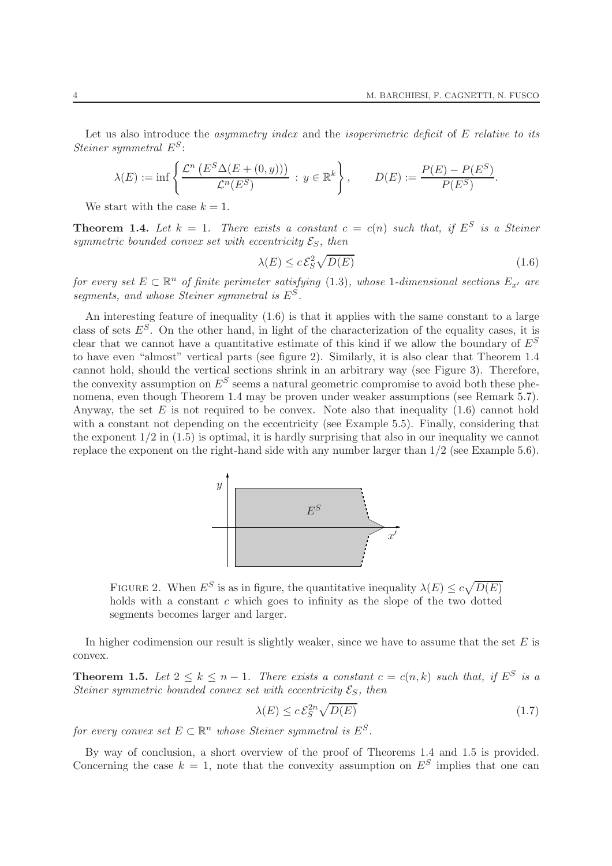Let us also introduce the *asymmetry index* and the *isoperimetric deficit* of E relative to its Steiner symmetral  $E^S$ :

$$
\lambda(E) := \inf \left\{ \frac{\mathcal{L}^n \left( E^S \Delta(E + (0, y)) \right)}{\mathcal{L}^n(E^S)} : y \in \mathbb{R}^k \right\}, \qquad D(E) := \frac{P(E) - P(E^S)}{P(E^S)}.
$$

We start with the case  $k = 1$ .

**Theorem 1.4.** Let  $k = 1$ . There exists a constant  $c = c(n)$  such that, if  $E^S$  is a Steiner symmetric bounded convex set with eccentricity  $\mathcal{E}_S$ , then

$$
\lambda(E) \le c \mathcal{E}_S^2 \sqrt{D(E)} \tag{1.6}
$$

for every set  $E \subset \mathbb{R}^n$  of finite perimeter satisfying (1.3), whose 1-dimensional sections  $E_{x'}$  are segments, and whose Steiner symmetral is  $E^S$ .

An interesting feature of inequality (1.6) is that it applies with the same constant to a large class of sets  $E^S$ . On the other hand, in light of the characterization of the equality cases, it is clear that we cannot have a quantitative estimate of this kind if we allow the boundary of  $E^S$ to have even "almost" vertical parts (see figure 2). Similarly, it is also clear that Theorem 1.4 cannot hold, should the vertical sections shrink in an arbitrary way (see Figure 3). Therefore, the convexity assumption on  $E^S$  seems a natural geometric compromise to avoid both these phenomena, even though Theorem 1.4 may be proven under weaker assumptions (see Remark 5.7). Anyway, the set  $E$  is not required to be convex. Note also that inequality (1.6) cannot hold with a constant not depending on the eccentricity (see Example 5.5). Finally, considering that the exponent  $1/2$  in  $(1.5)$  is optimal, it is hardly surprising that also in our inequality we cannot replace the exponent on the right-hand side with any number larger than 1/2 (see Example 5.6).



FIGURE 2. When  $E^S$  is as in figure, the quantitative inequality  $\lambda(E) \leq c \sqrt{D(E)}$ holds with a constant  $c$  which goes to infinity as the slope of the two dotted segments becomes larger and larger.

In higher codimension our result is slightly weaker, since we have to assume that the set  $E$  is convex.

**Theorem 1.5.** Let  $2 \leq k \leq n-1$ . There exists a constant  $c = c(n,k)$  such that, if  $E^S$  is a Steiner symmetric bounded convex set with eccentricity  $\mathcal{E}_S$ , then

$$
\lambda(E) \le c \mathcal{E}_S^{2n} \sqrt{D(E)} \tag{1.7}
$$

for every convex set  $E \subset \mathbb{R}^n$  whose Steiner symmetral is  $E^S$ .

By way of conclusion, a short overview of the proof of Theorems 1.4 and 1.5 is provided. Concerning the case  $k = 1$ , note that the convexity assumption on  $E^S$  implies that one can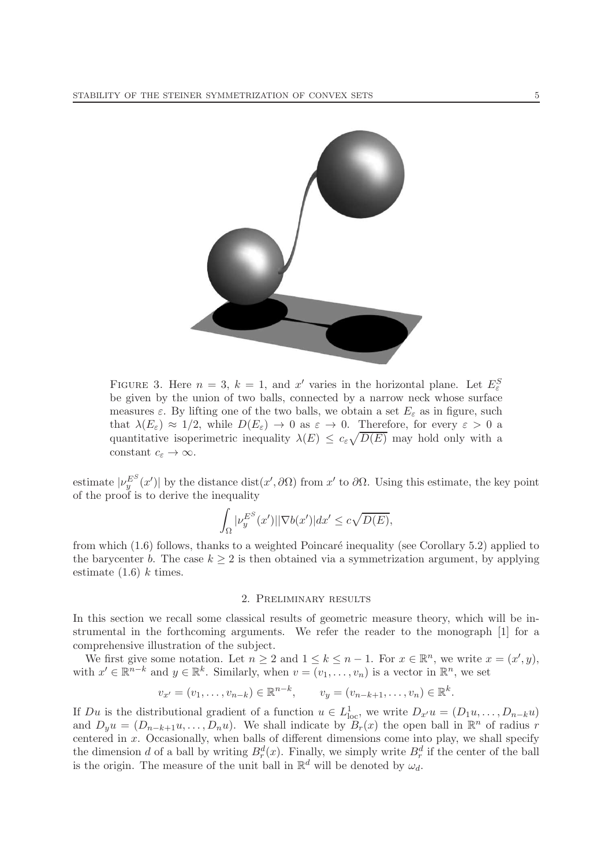

FIGURE 3. Here  $n = 3$ ,  $k = 1$ , and  $x'$  varies in the horizontal plane. Let  $E^S_{\varepsilon}$ be given by the union of two balls, connected by a narrow neck whose surface measures  $\varepsilon$ . By lifting one of the two balls, we obtain a set  $E_{\varepsilon}$  as in figure, such that  $\lambda(E_{\varepsilon}) \approx 1/2$ , while  $D(E_{\varepsilon}) \to 0$  as  $\varepsilon \to 0$ . Therefore, for every  $\varepsilon > 0$  a quantitative isoperimetric inequality  $\lambda(E) \leq c_{\varepsilon} \sqrt{D(E)}$  may hold only with a constant  $c_{\varepsilon} \to \infty$ .

estimate  $|\nu_y^{E^S}(x')|$  by the distance dist(x',  $\partial\Omega$ ) from x' to  $\partial\Omega$ . Using this estimate, the key point of the proof is to derive the inequality

$$
\int_{\Omega} |\nu_y^{E^S}(x')| |\nabla b(x')| dx' \leq c\sqrt{D(E)},
$$

from which  $(1.6)$  follows, thanks to a weighted Poincaré inequality (see Corollary 5.2) applied to the barycenter b. The case  $k \geq 2$  is then obtained via a symmetrization argument, by applying estimate  $(1.6)$  k times.

#### 2. Preliminary results

In this section we recall some classical results of geometric measure theory, which will be instrumental in the forthcoming arguments. We refer the reader to the monograph [1] for a comprehensive illustration of the subject.

We first give some notation. Let  $n \geq 2$  and  $1 \leq k \leq n-1$ . For  $x \in \mathbb{R}^n$ , we write  $x = (x', y)$ , with  $x' \in \mathbb{R}^{n-k}$  and  $y \in \mathbb{R}^k$ . Similarly, when  $v = (v_1, \ldots, v_n)$  is a vector in  $\mathbb{R}^n$ , we set

$$
v_{x'} = (v_1, ..., v_{n-k}) \in \mathbb{R}^{n-k}, \qquad v_y = (v_{n-k+1}, ..., v_n) \in \mathbb{R}^k.
$$

If  $Du$  is the distributional gradient of a function  $u \in L^1_{loc}$ , we write  $D_{x'}u = (D_1u, \ldots, D_{n-k}u)$ and  $D_y u = (D_{n-k+1}u, \ldots, D_n u)$ . We shall indicate by  $B_r(x)$  the open ball in  $\mathbb{R}^n$  of radius r centered in  $x$ . Occasionally, when balls of different dimensions come into play, we shall specify the dimension d of a ball by writing  $B_r^d(x)$ . Finally, we simply write  $B_r^d$  if the center of the ball is the origin. The measure of the unit ball in  $\mathbb{R}^d$  will be denoted by  $\omega_d$ .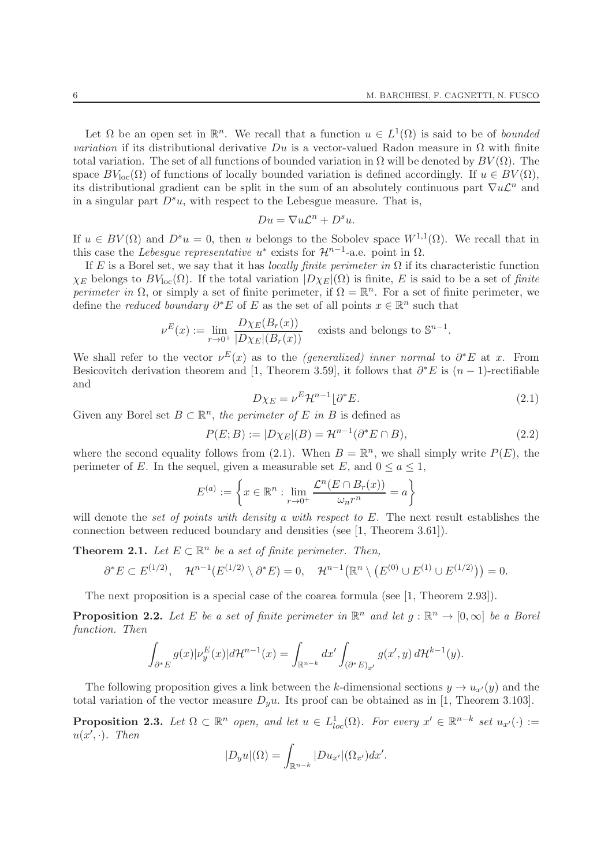Let  $\Omega$  be an open set in  $\mathbb{R}^n$ . We recall that a function  $u \in L^1(\Omega)$  is said to be of bounded variation if its distributional derivative  $Du$  is a vector-valued Radon measure in  $\Omega$  with finite total variation. The set of all functions of bounded variation in  $\Omega$  will be denoted by  $BV(\Omega)$ . The space  $BV_{loc}(\Omega)$  of functions of locally bounded variation is defined accordingly. If  $u \in BV(\Omega)$ , its distributional gradient can be split in the sum of an absolutely continuous part  $\nabla u \mathcal{L}^n$  and in a singular part  $D^s u$ , with respect to the Lebesgue measure. That is,

$$
Du = \nabla u \mathcal{L}^n + D^s u.
$$

If  $u \in BV(\Omega)$  and  $D^s u = 0$ , then u belongs to the Sobolev space  $W^{1,1}(\Omega)$ . We recall that in this case the Lebesgue representative  $u^*$  exists for  $\mathcal{H}^{n-1}$ -a.e. point in  $\Omega$ .

If E is a Borel set, we say that it has *locally finite perimeter in*  $\Omega$  if its characteristic function  $\chi_E$  belongs to  $BV_{loc}(\Omega)$ . If the total variation  $|D\chi_E|(\Omega)$  is finite, E is said to be a set of finite perimeter in  $\Omega$ , or simply a set of finite perimeter, if  $\Omega = \mathbb{R}^n$ . For a set of finite perimeter, we define the *reduced boundary*  $\partial^* E$  of E as the set of all points  $x \in \mathbb{R}^n$  such that

$$
\nu^{E}(x) := \lim_{r \to 0^{+}} \frac{D\chi_{E}(B_{r}(x))}{|D\chi_{E}|(B_{r}(x))}
$$
 exists and belongs to  $\mathbb{S}^{n-1}$ .

We shall refer to the vector  $\nu^{E}(x)$  as to the *(generalized)* inner normal to  $\partial^*E$  at x. From Besicovitch derivation theorem and [1, Theorem 3.59], it follows that  $\partial^* E$  is  $(n-1)$ -rectifiable and

$$
D\chi_E = \nu^E \mathcal{H}^{n-1} \lfloor \partial^* E. \tag{2.1}
$$

Given any Borel set  $B \subset \mathbb{R}^n$ , the perimeter of E in B is defined as

$$
P(E;B) := |D\chi_E|(B) = \mathcal{H}^{n-1}(\partial^*E \cap B),\tag{2.2}
$$

where the second equality follows from (2.1). When  $B = \mathbb{R}^n$ , we shall simply write  $P(E)$ , the perimeter of E. In the sequel, given a measurable set E, and  $0 \le a \le 1$ ,

$$
E^{(a)} := \left\{ x \in \mathbb{R}^n : \lim_{r \to 0^+} \frac{\mathcal{L}^n(E \cap B_r(x))}{\omega_n r^n} = a \right\}
$$

will denote the set of points with density a with respect to  $E$ . The next result establishes the connection between reduced boundary and densities (see [1, Theorem 3.61]).

**Theorem 2.1.** Let  $E \subset \mathbb{R}^n$  be a set of finite perimeter. Then,

$$
\partial^* E \subset E^{(1/2)}, \quad \mathcal{H}^{n-1}(E^{(1/2)} \setminus \partial^* E) = 0, \quad \mathcal{H}^{n-1}\big(\mathbb{R}^n \setminus (E^{(0)} \cup E^{(1)} \cup E^{(1/2)})\big) = 0.
$$

The next proposition is a special case of the coarea formula (see [1, Theorem 2.93]).

**Proposition 2.2.** Let E be a set of finite perimeter in  $\mathbb{R}^n$  and let  $g : \mathbb{R}^n \to [0, \infty]$  be a Borel function. Then

$$
\int_{\partial^* E} g(x) |\nu_y^E(x)| d{\mathcal{H}}^{n-1}(x) = \int_{\mathbb{R}^{n-k}} dx' \int_{(\partial^* E)_{x'}} g(x', y) d{\mathcal{H}}^{k-1}(y).
$$

The following proposition gives a link between the k-dimensional sections  $y \to u_{x'}(y)$  and the total variation of the vector measure  $D<sub>y</sub>u$ . Its proof can be obtained as in [1, Theorem 3.103].

**Proposition 2.3.** Let  $\Omega \subset \mathbb{R}^n$  open, and let  $u \in L^1_{loc}(\Omega)$ . For every  $x' \in \mathbb{R}^{n-k}$  set  $u_{x'}(\cdot) :=$  $u(x',\cdot)$ . Then

$$
|D_y u|(\Omega) = \int_{\mathbb{R}^{n-k}} |Du_{x'}|(\Omega_{x'}) dx'.
$$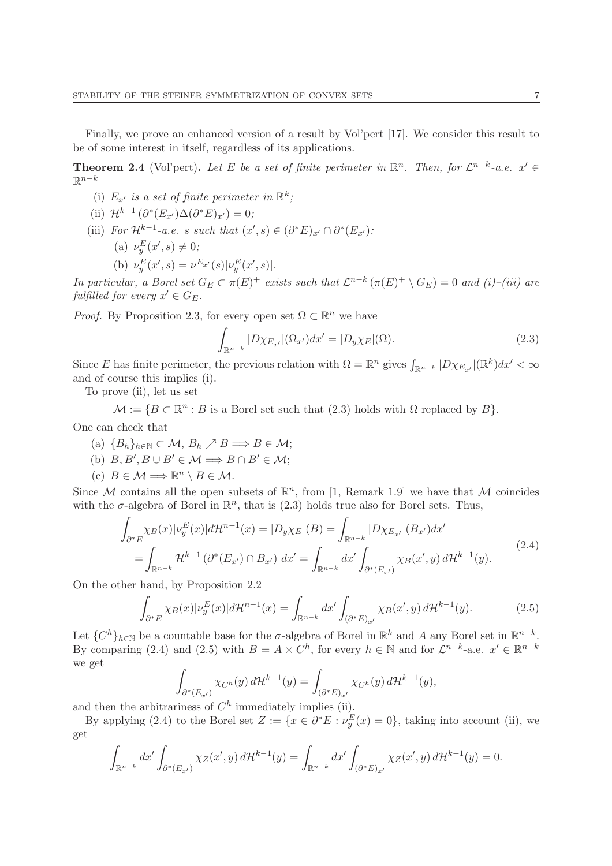Finally, we prove an enhanced version of a result by Vol'pert [17]. We consider this result to be of some interest in itself, regardless of its applications.

**Theorem 2.4** (Vol'pert). Let E be a set of finite perimeter in  $\mathbb{R}^n$ . Then, for  $\mathcal{L}^{n-k}$ -a.e.  $x' \in$  $\mathbb{R}^{n-k}$ 

- (i)  $E_{x'}$  is a set of finite perimeter in  $\mathbb{R}^k$ ;
- (ii)  $\mathcal{H}^{k-1}(\partial^*(E_{x'})\Delta(\partial^*E)_{x'})=0;$
- (iii) For  $\mathcal{H}^{k-1}$ -a.e. s such that  $(x', s) \in (\partial^* E)_{x'} \cap \partial^* (E_{x'})$ :
	- (a)  $\nu_{y}^{E}(x', s) \neq 0;$
	- (b)  $\nu_y^E(x', s) = \nu^{E_{x'}}(s) |\nu_y^E(x', s)|.$

In particular, a Borel set  $G_E \subset \pi(E)^+$  exists such that  $\mathcal{L}^{n-k}(\pi(E)^+ \setminus G_E) = 0$  and  $(i)$ -(iii) are fulfilled for every  $x' \in G_E$ .

*Proof.* By Proposition 2.3, for every open set  $\Omega \subset \mathbb{R}^n$  we have

$$
\int_{\mathbb{R}^{n-k}} |D\chi_{E_{x'}}|(\Omega_{x'})dx' = |D_y\chi_E|(\Omega). \tag{2.3}
$$

Since E has finite perimeter, the previous relation with  $\Omega = \mathbb{R}^n$  gives  $\int_{\mathbb{R}^{n-k}} |D\chi_{E_{x'}}|(\mathbb{R}^k)dx' < \infty$ and of course this implies (i).

To prove (ii), let us set

 $\mathcal{M} := \{ B \subset \mathbb{R}^n : B \text{ is a Borel set such that } (2.3) \text{ holds with } \Omega \text{ replaced by } B \}.$ 

One can check that

- (a)  ${B_h}_{h \in \mathbb{N}} \subset \mathcal{M}, B_h \nearrow B \Longrightarrow B \in \mathcal{M};$
- (b)  $B, B', B \cup B' \in \mathcal{M} \Longrightarrow B \cap B' \in \mathcal{M};$
- (c)  $B \in \mathcal{M} \Longrightarrow \mathbb{R}^n \setminus B \in \mathcal{M}.$

Since M contains all the open subsets of  $\mathbb{R}^n$ , from [1, Remark 1.9] we have that M coincides with the  $\sigma$ -algebra of Borel in  $\mathbb{R}^n$ , that is (2.3) holds true also for Borel sets. Thus,

$$
\int_{\partial^* E} \chi_B(x) |\nu_y^E(x)| d\mathcal{H}^{n-1}(x) = |D_y \chi_E|(B) = \int_{\mathbb{R}^{n-k}} |D \chi_{E_{x'}}|(B_{x'}) dx'
$$
\n
$$
= \int_{\mathbb{R}^{n-k}} \mathcal{H}^{k-1}(\partial^*(E_{x'}) \cap B_{x'}) dx' = \int_{\mathbb{R}^{n-k}} dx' \int_{\partial^*(E_{x'})} \chi_B(x', y) d\mathcal{H}^{k-1}(y).
$$
\n(2.4)

On the other hand, by Proposition 2.2

$$
\int_{\partial^* E} \chi_B(x) |\nu_y^E(x)| d\mathcal{H}^{n-1}(x) = \int_{\mathbb{R}^{n-k}} dx' \int_{(\partial^* E)_{x'}} \chi_B(x', y) d\mathcal{H}^{k-1}(y).
$$
\n(2.5)

Let  $\{C^h\}_{h\in\mathbb{N}}$  be a countable base for the  $\sigma$ -algebra of Borel in  $\mathbb{R}^k$  and A any Borel set in  $\mathbb{R}^{n-k}$ . By comparing (2.4) and (2.5) with  $B = A \times C^h$ , for every  $h \in \mathbb{N}$  and for  $\mathcal{L}^{n-k}$ -a.e.  $x' \in \mathbb{R}^{n-k}$ we get

$$
\int_{\partial^*(E_{x'})}\chi_{C^h}(y)\,d\mathcal{H}^{k-1}(y)=\int_{(\partial^*E)_{x'}}\chi_{C^h}(y)\,d\mathcal{H}^{k-1}(y),
$$

and then the arbitrariness of  $C<sup>h</sup>$  immediately implies (ii).

By applying (2.4) to the Borel set  $Z := \{x \in \partial^* E : \nu_y^E(x) = 0\}$ , taking into account (ii), we get

$$
\int_{\mathbb{R}^{n-k}} dx' \int_{\partial^*(E_{x'})} \chi_Z(x',y) d\mathcal{H}^{k-1}(y) = \int_{\mathbb{R}^{n-k}} dx' \int_{(\partial^* E)_{x'}} \chi_Z(x',y) d\mathcal{H}^{k-1}(y) = 0.
$$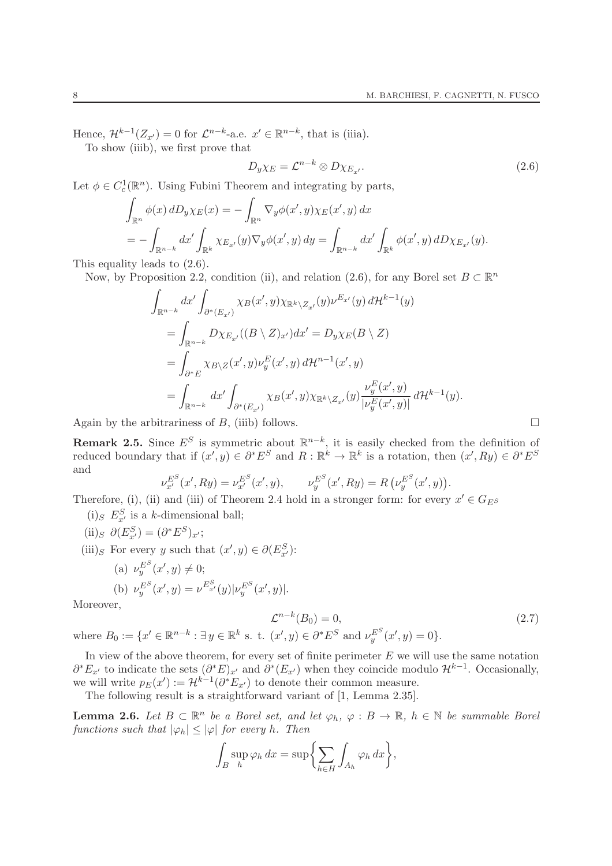Hence,  $\mathcal{H}^{k-1}(Z_{x'})=0$  for  $\mathcal{L}^{n-k}$ -a.e.  $x' \in \mathbb{R}^{n-k}$ , that is (iiia).

To show (iiib), we first prove that

$$
D_{y}\chi_{E} = \mathcal{L}^{n-k} \otimes D\chi_{E_{x'}}.\tag{2.6}
$$

Let  $\phi \in C_c^1(\mathbb{R}^n)$ . Using Fubini Theorem and integrating by parts,

$$
\int_{\mathbb{R}^n} \phi(x) dD_y \chi_E(x) = -\int_{\mathbb{R}^n} \nabla_y \phi(x', y) \chi_E(x', y) dx
$$
  
= 
$$
-\int_{\mathbb{R}^{n-k}} dx' \int_{\mathbb{R}^k} \chi_{E_{x'}}(y) \nabla_y \phi(x', y) dy = \int_{\mathbb{R}^{n-k}} dx' \int_{\mathbb{R}^k} \phi(x', y) dD \chi_{E_{x'}}(y).
$$

This equality leads to (2.6).

Now, by Proposition 2.2, condition (ii), and relation (2.6), for any Borel set  $B \subset \mathbb{R}^n$ 

$$
\int_{\mathbb{R}^{n-k}} dx' \int_{\partial^*(E_{x'})} \chi_B(x', y) \chi_{\mathbb{R}^k \setminus Z_{x'}}(y) \nu^{E_{x'}}(y) d\mathcal{H}^{k-1}(y)
$$
\n
$$
= \int_{\mathbb{R}^{n-k}} D\chi_{E_{x'}}((B \setminus Z)_{x'}) dx' = D_y \chi_E(B \setminus Z)
$$
\n
$$
= \int_{\partial^* E} \chi_{B \setminus Z}(x', y) \nu_y^E(x', y) d\mathcal{H}^{n-1}(x', y)
$$
\n
$$
= \int_{\mathbb{R}^{n-k}} dx' \int_{\partial^*(E_{x'})} \chi_B(x', y) \chi_{\mathbb{R}^k \setminus Z_{x'}}(y) \frac{\nu_y^E(x', y)}{|\nu_y^E(x', y)|} d\mathcal{H}^{k-1}(y).
$$

Again by the arbitrariness of B, (iiib) follows.

**Remark 2.5.** Since  $E^S$  is symmetric about  $\mathbb{R}^{n-k}$ , it is easily checked from the definition of reduced boundary that if  $(x', y) \in \partial^* E^S$  and  $R : \mathbb{R}^k \to \mathbb{R}^k$  is a rotation, then  $(x', Ry) \in \partial^* E^S$ and

$$
\nu_{x'}^{E^S}(x', Ry) = \nu_{x'}^{E^S}(x', y), \qquad \nu_y^{E^S}(x', Ry) = R\left(\nu_y^{E^S}(x', y)\right).
$$

Therefore, (i), (ii) and (iii) of Theorem 2.4 hold in a stronger form: for every  $x' \in G_{E^S}$ 

- (i)<sub>S</sub>  $E_{x}^S$  is a k-dimensional ball;
- (ii)<sub>S</sub>  $\partial(E_{x'}^S) = (\partial^* E^S)_{x'};$
- (iii)<sub>S</sub> For every y such that  $(x', y) \in \partial(E_{x'}^S)$ :

(a) 
$$
\nu_y^{E^S}(x', y) \neq 0;
$$
  
\n(b)  $\nu_y^{E^S}(x', y) = \nu^{E^S_{x'}}(y) |\nu_y^{E^S}(x', y)|.$ 

Moreover,

$$
\mathcal{L}^{n-k}(B_0) = 0,\tag{2.7}
$$

where  $B_0 := \{x' \in \mathbb{R}^{n-k} : \exists y \in \mathbb{R}^k \text{ s. t. } (x', y) \in \partial^* E^S \text{ and } \nu_y^{E^S}(x', y) = 0\}.$ 

In view of the above theorem, for every set of finite perimeter  $E$  we will use the same notation  $\partial^* E_{x'}$  to indicate the sets  $(\partial^* E)_{x'}$  and  $\partial^* (E_{x'})$  when they coincide modulo  $\mathcal{H}^{k-1}$ . Occasionally, we will write  $p_E(x') := \mathcal{H}^{k-1}(\partial^* E_{x'})$  to denote their common measure.

The following result is a straightforward variant of [1, Lemma 2.35].

**Lemma 2.6.** Let  $B \subset \mathbb{R}^n$  be a Borel set, and let  $\varphi_h$ ,  $\varphi : B \to \mathbb{R}$ ,  $h \in \mathbb{N}$  be summable Borel functions such that  $|\varphi_h| < |\varphi|$  for every h. Then

$$
\int_B \sup_h \varphi_h \, dx = \sup \biggl\{ \sum_{h \in H} \int_{A_h} \varphi_h \, dx \biggr\},\
$$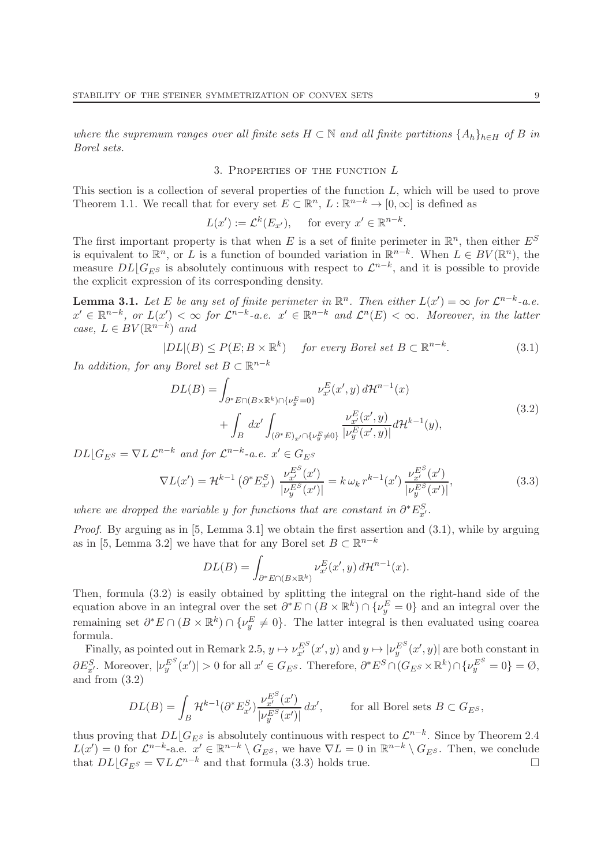where the supremum ranges over all finite sets  $H \subset \mathbb{N}$  and all finite partitions  $\{A_h\}_{h\in H}$  of B in Borel sets.

#### 3. PROPERTIES OF THE FUNCTION  $L$

This section is a collection of several properties of the function  $L$ , which will be used to prove Theorem 1.1. We recall that for every set  $E \subset \mathbb{R}^n$ ,  $L : \mathbb{R}^{n-k} \to [0, \infty]$  is defined as

$$
L(x') := \mathcal{L}^k(E_{x'}), \quad \text{ for every } x' \in \mathbb{R}^{n-k}.
$$

The first important property is that when E is a set of finite perimeter in  $\mathbb{R}^n$ , then either  $E^S$ is equivalent to  $\mathbb{R}^n$ , or L is a function of bounded variation in  $\mathbb{R}^{n-k}$ . When  $L \in BV(\mathbb{R}^n)$ , the measure  $DL[G_{E^S}]$  is absolutely continuous with respect to  $\mathcal{L}^{n-k}$ , and it is possible to provide the explicit expression of its corresponding density.

**Lemma 3.1.** Let E be any set of finite perimeter in  $\mathbb{R}^n$ . Then either  $L(x') = \infty$  for  $\mathcal{L}^{n-k}$ -a.e.  $x' \in \mathbb{R}^{n-k}$ , or  $L(x') < \infty$  for  $\mathcal{L}^{n-k}$ -a.e.  $x' \in \mathbb{R}^{n-k}$  and  $\mathcal{L}^{n}(E) < \infty$ . Moreover, in the latter case,  $L \in BV(\mathbb{R}^{n-k})$  and

$$
|DL|(B) \le P(E; B \times \mathbb{R}^k) \quad \text{for every Borel set } B \subset \mathbb{R}^{n-k}.
$$
 (3.1)

In addition, for any Borel set  $B \subset \mathbb{R}^{n-k}$ 

$$
DL(B) = \int_{\partial^* E \cap (B \times \mathbb{R}^k) \cap \{\nu_y^E = 0\}} \nu_{x'}^E(x', y) d\mathcal{H}^{n-1}(x) + \int_B dx' \int_{(\partial^* E)_{x'} \cap \{\nu_y^E \neq 0\}} \frac{\nu_{x'}^E(x', y)}{|\nu_y^E(x', y)|} d\mathcal{H}^{k-1}(y),
$$
(3.2)

 $DL[G_{E^S} = \nabla L \mathcal{L}^{n-k}$  and for  $\mathcal{L}^{n-k}$ -a.e.  $x' \in G_{E^S}$ 

$$
\nabla L(x') = \mathcal{H}^{k-1} \left( \partial^* E_{x'}^S \right) \frac{\nu_{x'}^{E^S}(x')}{|\nu_y^{E^S}(x')|} = k \omega_k r^{k-1}(x') \frac{\nu_{x'}^{E^S}(x')}{|\nu_y^{E^S}(x')|}, \tag{3.3}
$$

where we dropped the variable y for functions that are constant in  $\partial^* E^S_{x'}$ .

Proof. By arguing as in [5, Lemma 3.1] we obtain the first assertion and  $(3.1)$ , while by arguing as in [5, Lemma 3.2] we have that for any Borel set  $B \subset \mathbb{R}^{n-k}$ 

$$
DL(B) = \int_{\partial^*E \cap (B \times \mathbb{R}^k)} \nu_{x'}^E(x', y) d\mathcal{H}^{n-1}(x).
$$

Then, formula (3.2) is easily obtained by splitting the integral on the right-hand side of the equation above in an integral over the set  $\partial^* E \cap (B \times \mathbb{R}^k) \cap \{\nu_y^E = 0\}$  and an integral over the remaining set  $\partial^* E \cap (B \times \mathbb{R}^k) \cap \{\nu_y^E \neq 0\}$ . The latter integral is then evaluated using coarea formula.

Finally, as pointed out in Remark 2.5,  $y \mapsto \nu_{x'}^{E^S}(x', y)$  and  $y \mapsto |\nu_y^{E^S}(x', y)|$  are both constant in  $\partial E_{x'}^S$ . Moreover,  $|\nu_y^{E^S}(x')| > 0$  for all  $x' \in G_{E^S}$ . Therefore,  $\partial^* E^S \cap (G_{E^S} \times \mathbb{R}^k) \cap \{\nu_y^{E^S} = 0\} = \emptyset$ , and from (3.2)

$$
DL(B) = \int_B \mathcal{H}^{k-1}(\partial^* E_{x'}^S) \frac{\nu_{x'}^{E^S}(x')}{|\nu_y^{E^S}(x')|} dx', \quad \text{for all Borel sets } B \subset G_{E^S},
$$

thus proving that  $DL[G_{E^S}]$  is absolutely continuous with respect to  $\mathcal{L}^{n-k}$ . Since by Theorem 2.4  $L(x') = 0$  for  $\mathcal{L}^{n-k}$ -a.e.  $x' \in \mathbb{R}^{n-k} \setminus G_{E^S}$ , we have  $\nabla L = 0$  in  $\mathbb{R}^{n-k} \setminus G_{E^S}$ . Then, we conclude that  $DL\lfloor G_{ES} = \nabla L \mathcal{L}^{n-k}$  and that formula (3.3) holds true.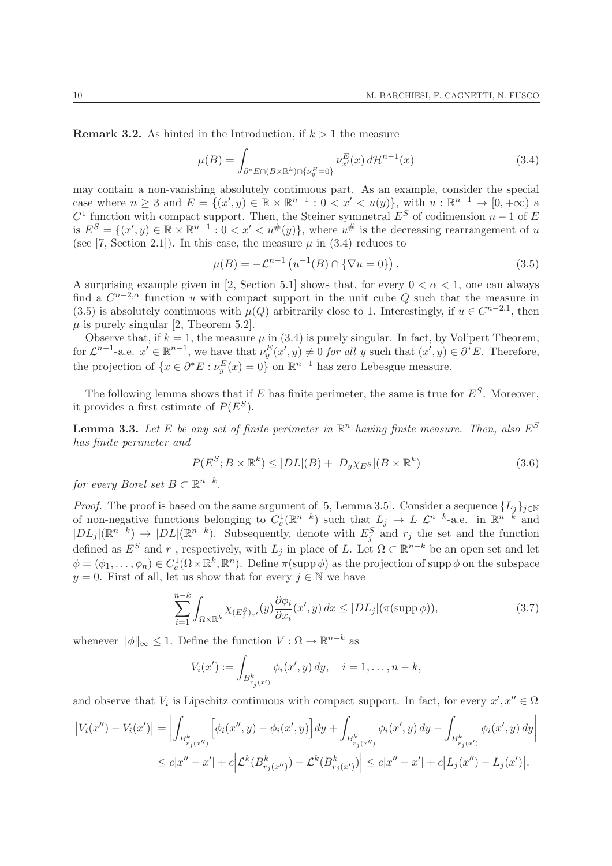**Remark 3.2.** As hinted in the Introduction, if  $k > 1$  the measure

$$
\mu(B) = \int_{\partial^* E \cap (B \times \mathbb{R}^k) \cap \{\nu_y^E = 0\}} \nu_{x'}^E(x) d\mathcal{H}^{n-1}(x)
$$
\n(3.4)

may contain a non-vanishing absolutely continuous part. As an example, consider the special case where  $n \geq 3$  and  $E = \{(x', y) \in \mathbb{R} \times \mathbb{R}^{n-1} : 0 < x' < u(y)\}\)$ , with  $u : \mathbb{R}^{n-1} \to [0, +\infty)$  a  $C<sup>1</sup>$  function with compact support. Then, the Steiner symmetral  $E<sup>S</sup>$  of codimension  $n-1$  of  $E<sup>S</sup>$ is  $E^{S} = \{(x', y) \in \mathbb{R} \times \mathbb{R}^{n-1} : 0 < x' < u^{\#}(y)\}\$ , where  $u^{\#}$  is the decreasing rearrangement of u (see [7, Section 2.1]). In this case, the measure  $\mu$  in (3.4) reduces to

$$
\mu(B) = -\mathcal{L}^{n-1} \left( u^{-1}(B) \cap \{ \nabla u = 0 \} \right). \tag{3.5}
$$

A surprising example given in [2, Section 5.1] shows that, for every  $0 < \alpha < 1$ , one can always find a  $C^{n-2,\alpha}$  function u with compact support in the unit cube Q such that the measure in (3.5) is absolutely continuous with  $\mu(Q)$  arbitrarily close to 1. Interestingly, if  $u \in C^{n-2,1}$ , then  $\mu$  is purely singular [2, Theorem 5.2].

Observe that, if  $k = 1$ , the measure  $\mu$  in (3.4) is purely singular. In fact, by Vol'pert Theorem, for  $\mathcal{L}^{n-1}$ -a.e.  $x' \in \mathbb{R}^{n-1}$ , we have that  $\nu_y^E(x', y) \neq 0$  for all y such that  $(x', y) \in \partial^* E$ . Therefore, the projection of  $\{x \in \partial^* E : \nu_y^E(x) = 0\}$  on  $\mathbb{R}^{n-1}$  has zero Lebesgue measure.

The following lemma shows that if E has finite perimeter, the same is true for  $E^S$ . Moreover, it provides a first estimate of  $P(E^S)$ .

**Lemma 3.3.** Let E be any set of finite perimeter in  $\mathbb{R}^n$  having finite measure. Then, also  $E^S$ has finite perimeter and

$$
P(E^{S}; B \times \mathbb{R}^{k}) \le |DL|(B) + |D_{y}\chi_{E^{S}}|(B \times \mathbb{R}^{k})
$$
\n(3.6)

for every Borel set  $B \subset \mathbb{R}^{n-k}$ .

*Proof.* The proof is based on the same argument of [5, Lemma 3.5]. Consider a sequence  $\{L_i\}_{i\in\mathbb{N}}$ of non-negative functions belonging to  $C_c^1(\mathbb{R}^{n-k})$  such that  $L_j \to L \mathcal{L}^{n-k}$ -a.e. in  $\mathbb{R}^{n-k}$  and  $|DL_j|(\mathbb{R}^{n-k}) \to |DL|(\mathbb{R}^{n-k})$ . Subsequently, denote with  $E_j^S$  and  $r_j$  the set and the function defined as  $E^S$  and r, respectively, with  $L_j$  in place of L. Let  $\Omega \subset \mathbb{R}^{n-k}$  be an open set and let  $\phi = (\phi_1, \dots, \phi_n) \in C_c^1(\Omega \times \mathbb{R}^k, \mathbb{R}^n)$ . Define  $\pi(\text{supp }\phi)$  as the projection of supp  $\phi$  on the subspace  $y = 0$ . First of all, let us show that for every  $j \in \mathbb{N}$  we have

$$
\sum_{i=1}^{n-k} \int_{\Omega \times \mathbb{R}^k} \chi_{(E_j^S)_{x'}}(y) \frac{\partial \phi_i}{\partial x_i}(x', y) dx \le |DL_j|(\pi(\text{supp }\phi)),\tag{3.7}
$$

whenever  $\|\phi\|_{\infty} \leq 1$ . Define the function  $V : \Omega \to \mathbb{R}^{n-k}$  as

$$
V_i(x') := \int_{B^k_{r_j(x')}} \phi_i(x', y) \, dy, \quad i = 1, \dots, n-k,
$$

and observe that  $V_i$  is Lipschitz continuous with compact support. In fact, for every  $x', x'' \in \Omega$ 

$$
\begin{aligned} \left| V_i(x'') - V_i(x') \right| &= \left| \int_{B^k_{r_j(x'')}} \left[ \phi_i(x'', y) - \phi_i(x', y) \right] dy + \int_{B^k_{r_j(x'')}} \phi_i(x', y) \, dy - \int_{B^k_{r_j(x')}} \phi_i(x', y) \, dy \right| \\ &\leq c |x'' - x'| + c \left| \mathcal{L}^k(B^k_{r_j(x'')}) - \mathcal{L}^k(B^k_{r_j(x')}) \right| \leq c |x'' - x'| + c \left| L_j(x'') - L_j(x') \right|. \end{aligned}
$$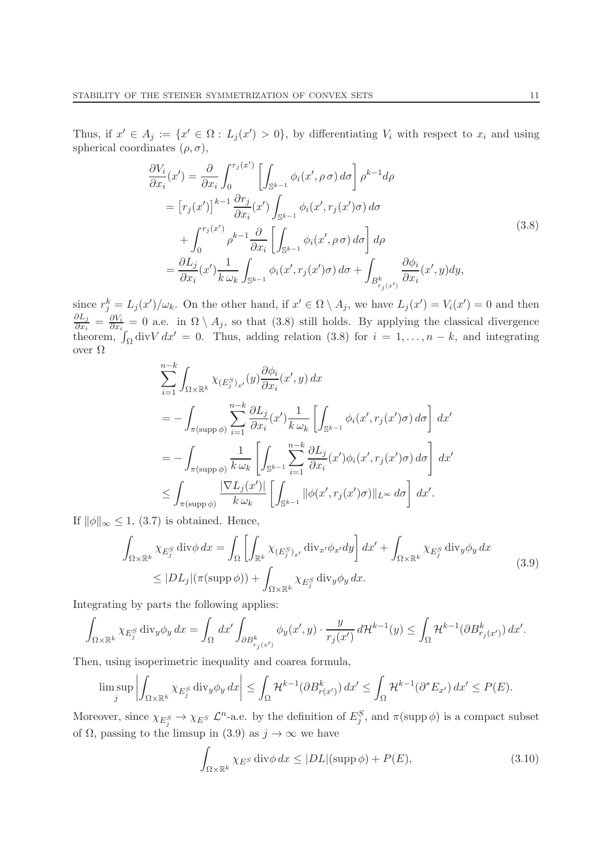Thus, if  $x' \in A_j := \{x' \in \Omega : L_j(x') > 0\}$ , by differentiating  $V_i$  with respect to  $x_i$  and using spherical coordinates  $(\rho, \sigma)$ ,

$$
\frac{\partial V_i}{\partial x_i}(x') = \frac{\partial}{\partial x_i} \int_0^{r_j(x')} \left[ \int_{\mathbb{S}^{k-1}} \phi_i(x', \rho \sigma) d\sigma \right] \rho^{k-1} d\rho
$$
  
\n
$$
= \left[ r_j(x') \right]^{k-1} \frac{\partial r_j}{\partial x_i}(x') \int_{\mathbb{S}^{k-1}} \phi_i(x', r_j(x')\sigma) d\sigma
$$
  
\n
$$
+ \int_0^{r_j(x')} \rho^{k-1} \frac{\partial}{\partial x_i} \left[ \int_{\mathbb{S}^{k-1}} \phi_i(x', \rho \sigma) d\sigma \right] d\rho
$$
  
\n
$$
= \frac{\partial L_j}{\partial x_i}(x') \frac{1}{k \omega_k} \int_{\mathbb{S}^{k-1}} \phi_i(x', r_j(x')\sigma) d\sigma + \int_{B^k_{r_j(x')}} \frac{\partial \phi_i}{\partial x_i}(x', y) dy,
$$
\n(3.8)

since  $r_j^k = L_j(x')/\omega_k$ . On the other hand, if  $x' \in \Omega \setminus A_j$ , we have  $L_j(x') = V_i(x') = 0$  and then  $\partial L_j$  $\frac{\partial L_j}{\partial x_i} = \frac{\partial V_i}{\partial x_i}$  $\frac{\partial V_i}{\partial x_i} = 0$  a.e. in  $\Omega \setminus A_j$ , so that (3.8) still holds. By applying the classical divergence theorem,  $\int_{\Omega}$  div $V dx' = 0$ . Thus, adding relation (3.8) for  $i = 1, ..., n - k$ , and integrating over  $\Omega$ 

$$
\sum_{i=1}^{n-k} \int_{\Omega \times \mathbb{R}^k} \chi_{(E_j^S)_{x'}}(y) \frac{\partial \phi_i}{\partial x_i}(x',y) dx
$$
  
=  $-\int_{\pi(\text{supp }\phi)} \sum_{i=1}^{n-k} \frac{\partial L_j}{\partial x_i}(x') \frac{1}{k \omega_k} \left[ \int_{\mathbb{S}^{k-1}} \phi_i(x', r_j(x')\sigma) d\sigma \right] dx'$   
=  $-\int_{\pi(\text{supp }\phi)} \frac{1}{k \omega_k} \left[ \int_{\mathbb{S}^{k-1}} \sum_{i=1}^{n-k} \frac{\partial L_j}{\partial x_i}(x') \phi_i(x', r_j(x')\sigma) d\sigma \right] dx'$   
 $\leq \int_{\pi(\text{supp }\phi)} \frac{|\nabla L_j(x')|}{k \omega_k} \left[ \int_{\mathbb{S}^{k-1}} ||\phi(x', r_j(x')\sigma)||_{L^\infty} d\sigma \right] dx'.$ 

If  $\|\phi\|_{\infty} \leq 1$ , (3.7) is obtained. Hence,

$$
\int_{\Omega \times \mathbb{R}^k} \chi_{E_j^S} \operatorname{div} \phi \, dx = \int_{\Omega} \left[ \int_{\mathbb{R}^k} \chi_{(E_j^S)_{x'}} \operatorname{div}_{x'} \phi_{x'} dy \right] dx' + \int_{\Omega \times \mathbb{R}^k} \chi_{E_j^S} \operatorname{div}_y \phi_y \, dx
$$
\n
$$
\leq |DL_j| (\pi(\operatorname{supp} \phi)) + \int_{\Omega \times \mathbb{R}^k} \chi_{E_j^S} \operatorname{div}_y \phi_y \, dx.
$$
\n(3.9)

Integrating by parts the following applies:

$$
\int_{\Omega\times\mathbb{R}^k}\chi_{E_j^S}\operatorname{div}_y\phi_y\,dx=\int_\Omega\,dx'\int_{\partial B^k_{r_j(x')}}\phi_y(x',y)\cdot\frac{y}{r_j(x')}\,d\mathcal{H}^{k-1}(y)\leq\int_\Omega\mathcal{H}^{k-1}(\partial B^k_{r_j(x')})\,dx'.
$$

Then, using isoperimetric inequality and coarea formula,

$$
\limsup_j \left| \int_{\Omega \times \mathbb{R}^k} \chi_{E_j^S} \operatorname{div}_y \phi_y dx \right| \leq \int_{\Omega} \mathcal{H}^{k-1}(\partial B^k_{r(x)}) dx' \leq \int_{\Omega} \mathcal{H}^{k-1}(\partial^* E_{x'}) dx' \leq P(E).
$$

Moreover, since  $\chi_{E_j^S} \to \chi_{E^S}$   $\mathcal{L}^n$ -a.e. by the definition of  $E_j^S$ , and  $\pi(\text{supp }\phi)$  is a compact subset of  $\Omega$ , passing to the limsup in (3.9) as  $j \to \infty$  we have

$$
\int_{\Omega \times \mathbb{R}^k} \chi_{E^S} \operatorname{div} \phi \, dx \le |DL|(\operatorname{supp} \phi) + P(E),\tag{3.10}
$$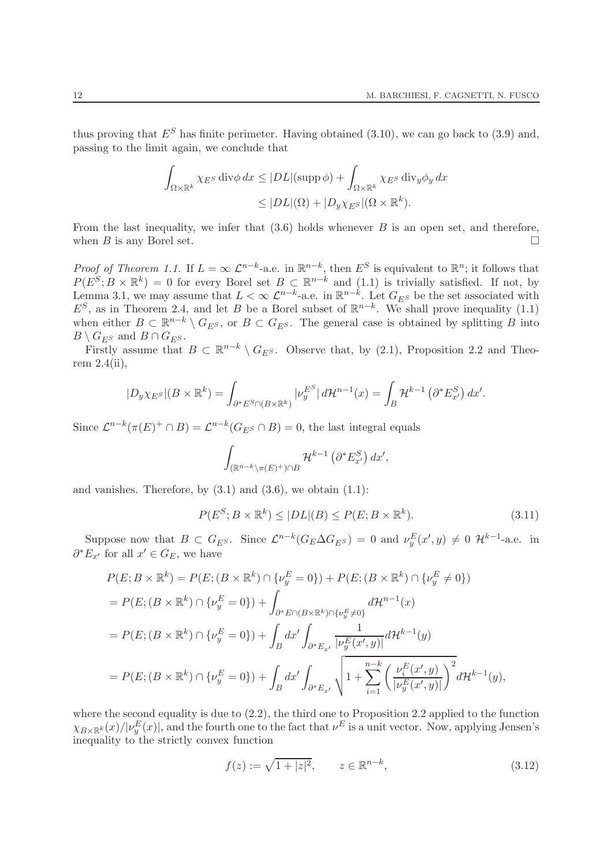thus proving that  $E^S$  has finite perimeter. Having obtained (3.10), we can go back to (3.9) and, passing to the limit again, we conclude that

$$
\int_{\Omega \times \mathbb{R}^k} \chi_{E^S} \operatorname{div} \phi \, dx \le |DL|(\operatorname{supp} \phi) + \int_{\Omega \times \mathbb{R}^k} \chi_{E^S} \operatorname{div}_y \phi_y \, dx
$$
  

$$
\le |DL|(\Omega) + |D_y \chi_{E^S}|(\Omega \times \mathbb{R}^k).
$$

From the last inequality, we infer that  $(3.6)$  holds whenever B is an open set, and therefore, when B is any Borel set.

Proof of Theorem 1.1. If  $L = \infty \mathcal{L}^{n-k}$ -a.e. in  $\mathbb{R}^{n-k}$ , then  $E^S$  is equivalent to  $\mathbb{R}^n$ ; it follows that  $P(E^S; B \times \mathbb{R}^k) = 0$  for every Borel set  $B \subset \mathbb{R}^{n-k}$  and  $(1.1)$  is trivially satisfied. If not, by Lemma 3.1, we may assume that  $L < \infty$   $\mathcal{L}^{n-k}$ -a.e. in  $\mathbb{R}^{n-k}$ . Let  $G_{E^S}$  be the set associated with  $E^S$ , as in Theorem 2.4, and let B be a Borel subset of  $\mathbb{R}^{n-k}$ . We shall prove inequality (1.1) when either  $B \subset \mathbb{R}^{n-k} \setminus G_{E^S}$ , or  $B \subset G_{E^S}$ . The general case is obtained by splitting B into  $B \setminus G_{ES}$  and  $B \cap G_{ES}$ .

Firstly assume that  $B \subset \mathbb{R}^{n-k} \setminus G_{E^S}$ . Observe that, by (2.1), Proposition 2.2 and Theorem 2.4(ii),

$$
|D_y\chi_{E^S}|(B\times\mathbb{R}^k)=\int_{\partial^*E^S\cap(B\times\mathbb{R}^k)}|\nu_y^{E^S}|d\mathcal{H}^{n-1}(x)=\int_B\mathcal{H}^{k-1}\left(\partial^*E_{x'}^S\right)dx'.
$$

Since  $\mathcal{L}^{n-k}(\pi(E)^+ \cap B) = \mathcal{L}^{n-k}(G_{E^S} \cap B) = 0$ , the last integral equals

$$
\int_{(\mathbb{R}^{n-k}\setminus\pi(E)^+)\cap B} \mathcal{H}^{k-1}\left(\partial^* E_{x'}^S\right) dx',
$$

and vanishes. Therefore, by  $(3.1)$  and  $(3.6)$ , we obtain  $(1.1)$ :

$$
P(E^{S}; B \times \mathbb{R}^{k}) \le |DL|(B) \le P(E; B \times \mathbb{R}^{k}).
$$
\n(3.11)

Suppose now that  $B \subset G_{E^S}$ . Since  $\mathcal{L}^{n-k}(G_E \Delta G_{E^S}) = 0$  and  $\nu_y^E(x', y) \neq 0$   $\mathcal{H}^{k-1}$ -a.e. in  $\partial^* E_{x'}$  for all  $x' \in G_E$ , we have

$$
P(E; B \times \mathbb{R}^{k}) = P(E; (B \times \mathbb{R}^{k}) \cap \{\nu_{y}^{E} = 0\}) + P(E; (B \times \mathbb{R}^{k}) \cap \{\nu_{y}^{E} \neq 0\})
$$
  
=  $P(E; (B \times \mathbb{R}^{k}) \cap \{\nu_{y}^{E} = 0\}) + \int_{\partial^{*}E \cap (B \times \mathbb{R}^{k}) \cap \{\nu_{y}^{E} \neq 0\}} d\mathcal{H}^{n-1}(x)$   
=  $P(E; (B \times \mathbb{R}^{k}) \cap \{\nu_{y}^{E} = 0\}) + \int_{B} dx' \int_{\partial^{*}E_{x'}} \frac{1}{|\nu_{y}^{E}(x', y)|} d\mathcal{H}^{k-1}(y)$   
=  $P(E; (B \times \mathbb{R}^{k}) \cap \{\nu_{y}^{E} = 0\}) + \int_{B} dx' \int_{\partial^{*}E_{x'}} \sqrt{1 + \sum_{i=1}^{n-k} \left(\frac{\nu_{i}^{E}(x', y)}{|\nu_{y}^{E}(x', y)|}\right)^{2}} d\mathcal{H}^{k-1}(y),$ 

where the second equality is due to  $(2.2)$ , the third one to Proposition 2.2 applied to the function  $\chi_{B\times\mathbb{R}^k}(x)/|\nu_y^E(x)|$ , and the fourth one to the fact that  $\nu^E$  is a unit vector. Now, applying Jensen's inequality to the strictly convex function

$$
f(z) := \sqrt{1 + |z|^2}, \qquad z \in \mathbb{R}^{n-k}, \tag{3.12}
$$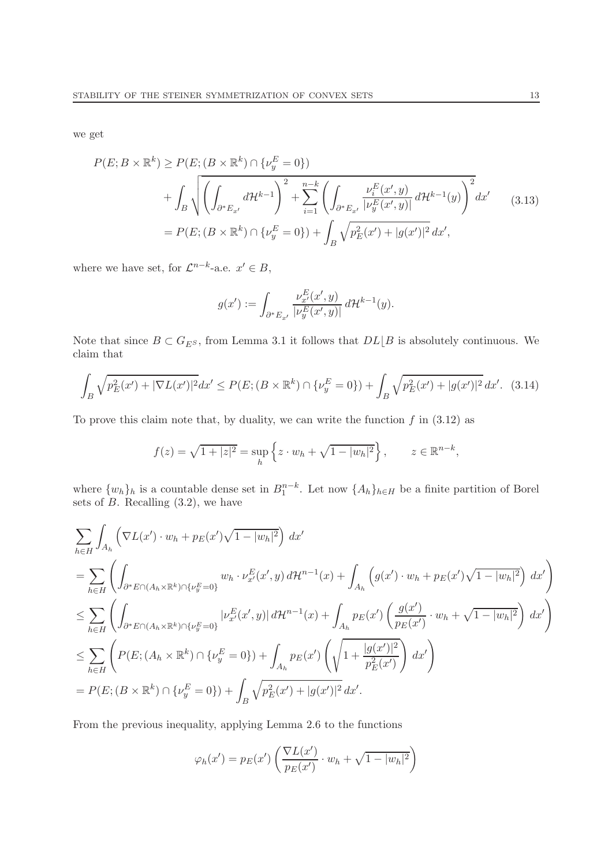we get

$$
P(E; B \times \mathbb{R}^{k}) \ge P(E; (B \times \mathbb{R}^{k}) \cap \{\nu_{y}^{E} = 0\})
$$
  
+ 
$$
\int_{B} \sqrt{\left(\int_{\partial^{*} E_{x'}} d\mathcal{H}^{k-1}\right)^{2} + \sum_{i=1}^{n-k} \left(\int_{\partial^{*} E_{x'}} \frac{\nu_{i}^{E}(x', y)}{|\nu_{y}^{E}(x', y)|} d\mathcal{H}^{k-1}(y)\right)^{2}} dx' \qquad (3.13)
$$
  
= 
$$
P(E; (B \times \mathbb{R}^{k}) \cap \{\nu_{y}^{E} = 0\}) + \int_{B} \sqrt{p_{E}^{2}(x') + |g(x')|^{2}} dx',
$$

where we have set, for  $\mathcal{L}^{n-k}$ -a.e.  $x' \in B$ ,

$$
g(x'):=\int_{\partial^*E_{x'}}\frac{\nu^E_{x'}(x',y)}{|\nu^E_y(x',y)|} \, d\mathcal{H}^{k-1}(y).
$$

Note that since  $B \subset G_{E^S}$ , from Lemma 3.1 it follows that  $DL \lfloor B \rfloor$  is absolutely continuous. We claim that

$$
\int_{B} \sqrt{p_E^2(x') + |\nabla L(x')|^2} dx' \le P(E; (B \times \mathbb{R}^k) \cap \{\nu_y^E = 0\}) + \int_{B} \sqrt{p_E^2(x') + |g(x')|^2} dx'. \tag{3.14}
$$

To prove this claim note that, by duality, we can write the function  $f$  in (3.12) as

$$
f(z) = \sqrt{1 + |z|^2} = \sup_h \left\{ z \cdot w_h + \sqrt{1 - |w_h|^2} \right\}, \qquad z \in \mathbb{R}^{n-k},
$$

where  $\{w_h\}_h$  is a countable dense set in  $B_1^{n-k}$ . Let now  $\{A_h\}_{h\in H}$  be a finite partition of Borel sets of  $B$ . Recalling  $(3.2)$ , we have

$$
\sum_{h\in H} \int_{A_h} \left( \nabla L(x') \cdot w_h + p_E(x') \sqrt{1 - |w_h|^2} \right) dx'
$$
\n
$$
= \sum_{h\in H} \left( \int_{\partial^* E \cap (A_h \times \mathbb{R}^k) \cap \{\nu_y^E = 0\}} w_h \cdot \nu_{x'}^E(x', y) d\mathcal{H}^{n-1}(x) + \int_{A_h} \left( g(x') \cdot w_h + p_E(x') \sqrt{1 - |w_h|^2} \right) dx' \right)
$$
\n
$$
\leq \sum_{h\in H} \left( \int_{\partial^* E \cap (A_h \times \mathbb{R}^k) \cap \{\nu_y^E = 0\}} |\nu_{x'}^E(x', y)| d\mathcal{H}^{n-1}(x) + \int_{A_h} p_E(x') \left( \frac{g(x')}{p_E(x')} \cdot w_h + \sqrt{1 - |w_h|^2} \right) dx' \right)
$$
\n
$$
\leq \sum_{h\in H} \left( P(E; (A_h \times \mathbb{R}^k) \cap \{\nu_y^E = 0\}) + \int_{A_h} p_E(x') \left( \sqrt{1 + \frac{|g(x')|^2}{p_E^2(x')}} \right) dx' \right)
$$
\n
$$
= P(E; (B \times \mathbb{R}^k) \cap \{\nu_y^E = 0\}) + \int_B \sqrt{p_E^2(x')} + |g(x')|^2 dx'.
$$

From the previous inequality, applying Lemma 2.6 to the functions

$$
\varphi_h(x') = p_E(x') \left( \frac{\nabla L(x')}{p_E(x')} \cdot w_h + \sqrt{1 - |w_h|^2} \right)
$$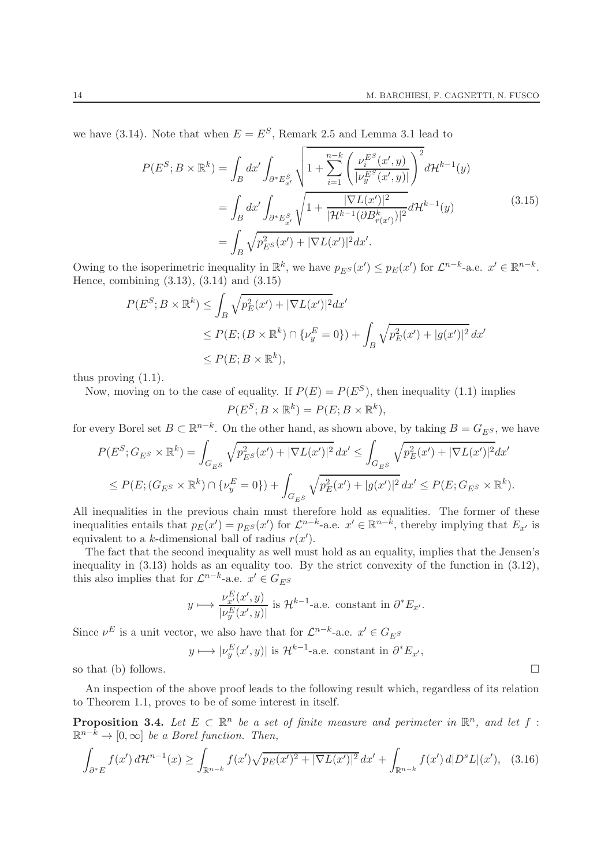we have (3.14). Note that when  $E = E^S$ , Remark 2.5 and Lemma 3.1 lead to

$$
P(E^{S}; B \times \mathbb{R}^{k}) = \int_{B} dx' \int_{\partial^{*} E_{x'}^{S}} \sqrt{1 + \sum_{i=1}^{n-k} \left( \frac{\nu_{i}^{E^{S}}(x', y)}{|\nu_{y}^{E^{S}}(x', y)|} \right)^{2}} d\mathcal{H}^{k-1}(y)
$$
  
= 
$$
\int_{B} dx' \int_{\partial^{*} E_{x'}^{S}} \sqrt{1 + \frac{|\nabla L(x')|^{2}}{|\mathcal{H}^{k-1}(\partial B_{r(x')}^{k})|^{2}}} d\mathcal{H}^{k-1}(y)
$$
(3.15)  
= 
$$
\int_{B} \sqrt{p_{E^{S}}^{2}(x') + |\nabla L(x')|^{2}} dx'.
$$

Owing to the isoperimetric inequality in  $\mathbb{R}^k$ , we have  $p_{E^S}(x') \leq p_E(x')$  for  $\mathcal{L}^{n-k}$ -a.e.  $x' \in \mathbb{R}^{n-k}$ . Hence, combining (3.13), (3.14) and (3.15)

$$
P(E^S; B \times \mathbb{R}^k) \le \int_B \sqrt{p_E^2(x') + |\nabla L(x')|^2} dx'
$$
  
\n
$$
\le P(E; (B \times \mathbb{R}^k) \cap \{\nu_y^E = 0\}) + \int_B \sqrt{p_E^2(x') + |g(x')|^2} dx'
$$
  
\n
$$
\le P(E; B \times \mathbb{R}^k),
$$

thus proving (1.1).

Now, moving on to the case of equality. If  $P(E) = P(E^S)$ , then inequality (1.1) implies

$$
P(E^S; B \times \mathbb{R}^k) = P(E; B \times \mathbb{R}^k),
$$

for every Borel set  $B \subset \mathbb{R}^{n-k}$ . On the other hand, as shown above, by taking  $B = G_{E^S}$ , we have

$$
P(E^{S}; G_{E^{S}} \times \mathbb{R}^{k}) = \int_{G_{E^{S}}} \sqrt{p_{E^{S}}^{2}(x') + |\nabla L(x')|^{2}} dx' \le \int_{G_{E^{S}}} \sqrt{p_{E}^{2}(x') + |\nabla L(x')|^{2}} dx'
$$
  

$$
\le P(E; (G_{E^{S}} \times \mathbb{R}^{k}) \cap \{\nu_{y}^{E} = 0\}) + \int_{G_{E^{S}}} \sqrt{p_{E}^{2}(x') + |g(x')|^{2}} dx' \le P(E; G_{E^{S}} \times \mathbb{R}^{k}).
$$

All inequalities in the previous chain must therefore hold as equalities. The former of these inequalities entails that  $p_E(x') = p_{E^S}(x')$  for  $\mathcal{L}^{n-k}$ -a.e.  $x' \in \mathbb{R}^{n-k}$ , thereby implying that  $E_{x'}$  is equivalent to a k-dimensional ball of radius  $r(x')$ .

The fact that the second inequality as well must hold as an equality, implies that the Jensen's inequality in (3.13) holds as an equality too. By the strict convexity of the function in (3.12), this also implies that for  $\mathcal{L}^{n-k}$ -a.e.  $x' \in G_{E^S}$ 

$$
y \longmapsto \frac{\nu_{x'}^E(x', y)}{|\nu_y^E(x', y)|}
$$
 is  $\mathcal{H}^{k-1}$ -a.e. constant in  $\partial^* E_{x'}$ .

Since  $\nu^E$  is a unit vector, we also have that for  $\mathcal{L}^{n-k}$ -a.e.  $x' \in G_{E^S}$ 

 $y \longmapsto |\nu_y^E(x', y)|$  is  $\mathcal{H}^{k-1}$ -a.e. constant in  $\partial^* E_{x'}$ ,

so that (b) follows.  $\Box$ 

An inspection of the above proof leads to the following result which, regardless of its relation to Theorem 1.1, proves to be of some interest in itself.

**Proposition 3.4.** Let  $E \subset \mathbb{R}^n$  be a set of finite measure and perimeter in  $\mathbb{R}^n$ , and let  $f$ :  $\mathbb{R}^{n-\bar{k}} \to [0,\infty]$  be a Borel function. Then,

$$
\int_{\partial^* E} f(x') d\mathcal{H}^{n-1}(x) \ge \int_{\mathbb{R}^{n-k}} f(x') \sqrt{p_E(x')^2 + |\nabla L(x')|^2} dx' + \int_{\mathbb{R}^{n-k}} f(x') d|D^s L|(x'), \quad (3.16)
$$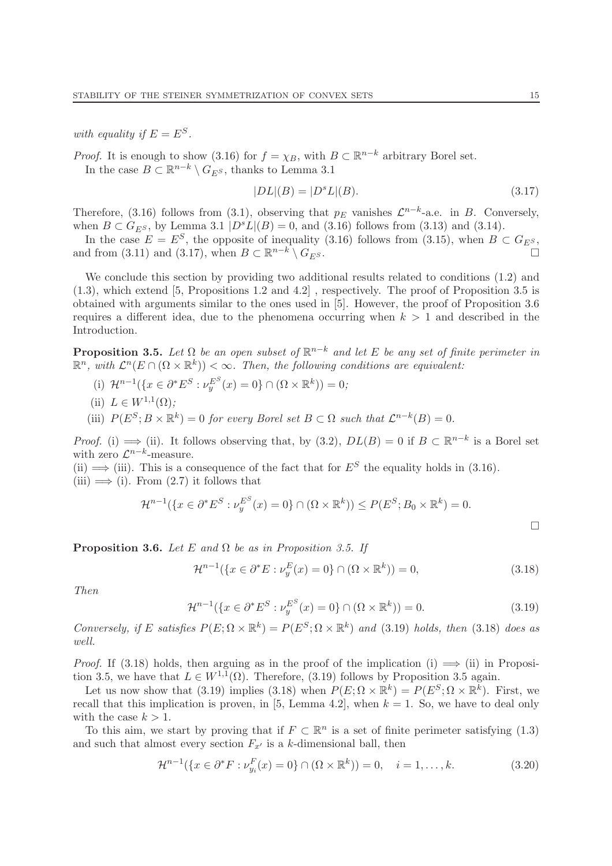with equality if  $E = E^S$ .

*Proof.* It is enough to show (3.16) for  $f = \chi_B$ , with  $B \subset \mathbb{R}^{n-k}$  arbitrary Borel set.

In the case  $B \subset \mathbb{R}^{n-k} \setminus G_{E^S}$ , thanks to Lemma 3.1

$$
|DL|(B) = |D^s L|(B).
$$
\n(3.17)

Therefore, (3.16) follows from (3.1), observing that  $p_E$  vanishes  $\mathcal{L}^{n-k}$ -a.e. in B. Conversely, when  $B \,\subset G_{ES}$ , by Lemma 3.1  $|D^{s}L|(B) = 0$ , and (3.16) follows from (3.13) and (3.14).

In the case  $E = E^S$ , the opposite of inequality (3.16) follows from (3.15), when  $B \subset G_{E^S}$ , and from (3.11) and (3.17), when  $B \subset \mathbb{R}^{n-k} \setminus G_{E^S}$ .

We conclude this section by providing two additional results related to conditions  $(1.2)$  and (1.3), which extend [5, Propositions 1.2 and 4.2] , respectively. The proof of Proposition 3.5 is obtained with arguments similar to the ones used in [5]. However, the proof of Proposition 3.6 requires a different idea, due to the phenomena occurring when  $k > 1$  and described in the Introduction.

**Proposition 3.5.** Let  $\Omega$  be an open subset of  $\mathbb{R}^{n-k}$  and let E be any set of finite perimeter in  $\mathbb{R}^n$ , with  $\mathcal{L}^n(E \cap (\Omega \times \mathbb{R}^k)) < \infty$ . Then, the following conditions are equivalent:

- (i)  $\mathcal{H}^{n-1}(\{x \in \partial^* E^S : \nu_y^{E^S}(x) = 0\} \cap (\Omega \times \mathbb{R}^k)) = 0;$
- (ii)  $L \in W^{1,1}(\Omega);$
- (iii)  $P(E^S; B \times \mathbb{R}^k) = 0$  for every Borel set  $B \subset \Omega$  such that  $\mathcal{L}^{n-k}(B) = 0$ .

*Proof.* (i)  $\implies$  (ii). It follows observing that, by (3.2),  $DL(B) = 0$  if  $B \subset \mathbb{R}^{n-k}$  is a Borel set with zero  $\mathcal{L}^{n-k}$ -measure.

(ii)  $\implies$  (iii). This is a consequence of the fact that for  $E^S$  the equality holds in (3.16). (iii)  $\implies$  (i). From (2.7) it follows that

$$
\mathcal{H}^{n-1}(\{x \in \partial^* E^S : \nu_y^{E^S}(x) = 0\} \cap (\Omega \times \mathbb{R}^k)) \le P(E^S; B_0 \times \mathbb{R}^k) = 0.
$$

**Proposition 3.6.** Let E and  $\Omega$  be as in Proposition 3.5. If

$$
\mathcal{H}^{n-1}(\{x \in \partial^* E : \nu_y^E(x) = 0\} \cap (\Omega \times \mathbb{R}^k)) = 0,
$$
\n(3.18)

Then

$$
\mathcal{H}^{n-1}(\{x \in \partial^* E^S : \nu_y^{E^S}(x) = 0\} \cap (\Omega \times \mathbb{R}^k)) = 0.
$$
 (3.19)

Conversely, if E satisfies  $P(E; \Omega \times \mathbb{R}^k) = P(E^S; \Omega \times \mathbb{R}^k)$  and (3.19) holds, then (3.18) does as well.

*Proof.* If (3.18) holds, then arguing as in the proof of the implication (i)  $\implies$  (ii) in Proposition 3.5, we have that  $L \in W^{1,1}(\Omega)$ . Therefore, (3.19) follows by Proposition 3.5 again.

Let us now show that (3.19) implies (3.18) when  $P(E; \Omega \times \mathbb{R}^k) = P(E^S; \Omega \times \mathbb{R}^k)$ . First, we recall that this implication is proven, in [5, Lemma 4.2], when  $k = 1$ . So, we have to deal only with the case  $k > 1$ .

To this aim, we start by proving that if  $F \subset \mathbb{R}^n$  is a set of finite perimeter satisfying (1.3) and such that almost every section  $F_{x'}$  is a k-dimensional ball, then

$$
\mathcal{H}^{n-1}(\{x \in \partial^* F : \nu_{y_i}^F(x) = 0\} \cap (\Omega \times \mathbb{R}^k)) = 0, \quad i = 1, \dots, k. \tag{3.20}
$$

 $\Box$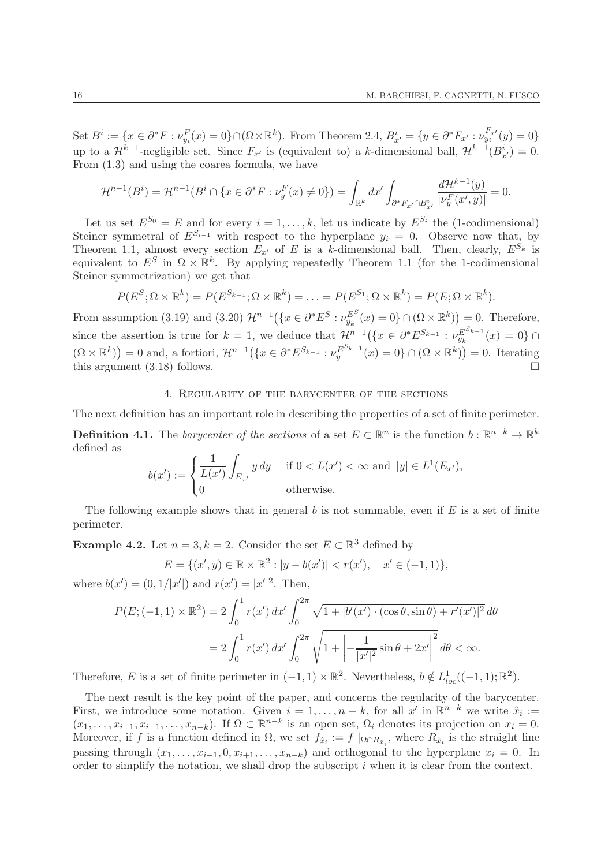Set  $B^i := \{x \in \partial^* F : \nu_{y_i}^F(x) = 0\} \cap (\Omega \times \mathbb{R}^k)$ . From Theorem 2.4,  $B^i_{x'} = \{y \in \partial^* F_{x'} : \nu_{y_i}^{F_{x'}}(y) = 0\}$ up to a  $\mathcal{H}^{k-1}$ -negligible set. Since  $F_{x'}$  is (equivalent to) a k-dimensional ball,  $\mathcal{H}^{k-1}(B_{x'}^i) = 0$ . From (1.3) and using the coarea formula, we have

$$
\mathcal{H}^{n-1}(B^i) = \mathcal{H}^{n-1}(B^i \cap \{x \in \partial^* F : \nu_y^F(x) \neq 0\}) = \int_{\mathbb{R}^k} dx' \int_{\partial^* F_{x'} \cap B_{x'}^i} \frac{d\mathcal{H}^{k-1}(y)}{|\nu_y^F(x', y)|} = 0.
$$

Let us set  $E^{S_0} = E$  and for every  $i = 1, ..., k$ , let us indicate by  $E^{S_i}$  the (1-codimensional) Steiner symmetral of  $E^{S_{i-1}}$  with respect to the hyperplane  $y_i = 0$ . Observe now that, by Theorem 1.1, almost every section  $E_{x'}$  of E is a k-dimensional ball. Then, clearly,  $E^{\dot{S}_k}$  is equivalent to  $E^S$  in  $\Omega \times \mathbb{R}^k$ . By applying repeatedly Theorem 1.1 (for the 1-codimensional Steiner symmetrization) we get that

$$
P(E^{S}; \Omega \times \mathbb{R}^{k}) = P(E^{S_{k-1}}; \Omega \times \mathbb{R}^{k}) = \ldots = P(E^{S_{1}}; \Omega \times \mathbb{R}^{k}) = P(E; \Omega \times \mathbb{R}^{k}).
$$

From assumption (3.19) and (3.20)  $\mathcal{H}^{n-1}(\lbrace x \in \partial^* E^S : \nu_{y_k}^{E^S}(x) = 0 \rbrace \cap (\Omega \times \mathbb{R}^k)) = 0$ . Therefore, since the assertion is true for  $k = 1$ , we deduce that  $\mathcal{H}^{n-1}(\lbrace x \in \partial^* E^{S_{k-1}} : \nu_{y_k}^{E^{S_{k-1}}}\rbrace)$  $y_k^{E^{-k-1}}(x) = 0$ } ∩  $(\Omega \times \mathbb{R}^k)$  = 0 and, a fortiori,  $\mathcal{H}^{n-1}(\lbrace x \in \partial^* E^{S_{k-1}} : \nu_y^{E^{S_{k-1}}}\rbrace)$  $y_{y}^{E^{S_{k-1}}}(x) = 0$   $\cap$   $(\Omega \times \mathbb{R}^{k})$  = 0. Iterating this argument  $(3.18)$  follows.

#### 4. Regularity of the barycenter of the sections

The next definition has an important role in describing the properties of a set of finite perimeter. **Definition 4.1.** The *barycenter of the sections* of a set  $E \subset \mathbb{R}^n$  is the function  $b : \mathbb{R}^{n-k} \to \mathbb{R}^k$ defined as

$$
b(x') := \begin{cases} \frac{1}{L(x')} \int_{E_{x'}} y \, dy & \text{if } 0 < L(x') < \infty \text{ and } |y| \in L^1(E_{x'}), \\ 0 & \text{otherwise.} \end{cases}
$$

The following example shows that in general b is not summable, even if  $E$  is a set of finite perimeter.

**Example 4.2.** Let  $n = 3, k = 2$ . Consider the set  $E \subset \mathbb{R}^3$  defined by

$$
E = \{(x', y) \in \mathbb{R} \times \mathbb{R}^2 : |y - b(x')| < r(x'), \quad x' \in (-1, 1)\},
$$

where  $b(x') = (0, 1/|x'|)$  and  $r(x') = |x'|^2$ . Then,

$$
P(E; (-1,1) \times \mathbb{R}^2) = 2 \int_0^1 r(x') dx' \int_0^{2\pi} \sqrt{1 + |b'(x') \cdot (\cos \theta, \sin \theta) + r'(x')|^2} d\theta
$$
  
= 
$$
2 \int_0^1 r(x') dx' \int_0^{2\pi} \sqrt{1 + \left| -\frac{1}{|x'|^2} \sin \theta + 2x' \right|^2} d\theta < \infty.
$$

Therefore, E is a set of finite perimeter in  $(-1, 1) \times \mathbb{R}^2$ . Nevertheless,  $b \notin L^1_{loc}((-1, 1); \mathbb{R}^2)$ .

The next result is the key point of the paper, and concerns the regularity of the barycenter. First, we introduce some notation. Given  $i = 1, ..., n - k$ , for all  $x'$  in  $\mathbb{R}^{n-k}$  we write  $\hat{x}_i :=$  $(x_1, \ldots, x_{i-1}, x_{i+1}, \ldots, x_{n-k})$ . If  $\Omega \subset \mathbb{R}^{n-k}$  is an open set,  $\Omega_i$  denotes its projection on  $x_i = 0$ . Moreover, if f is a function defined in  $\Omega$ , we set  $f_{\hat{x}_i} := f \mid_{\Omega \cap R_{\hat{x}_i}}$ , where  $R_{\hat{x}_i}$  is the straight line passing through  $(x_1, \ldots, x_{i-1}, 0, x_{i+1}, \ldots, x_{n-k})$  and orthogonal to the hyperplane  $x_i = 0$ . In order to simplify the notation, we shall drop the subscript  $i$  when it is clear from the context.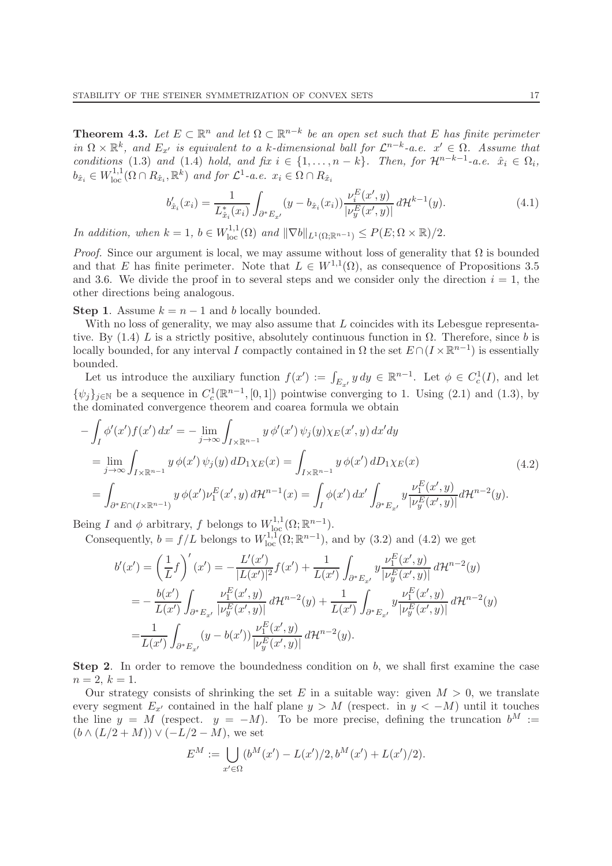**Theorem 4.3.** Let  $E \subset \mathbb{R}^n$  and let  $\Omega \subset \mathbb{R}^{n-k}$  be an open set such that E has finite perimeter in  $\Omega \times \mathbb{R}^k$ , and  $E_{x'}$  is equivalent to a k-dimensional ball for  $\mathcal{L}^{n-k}$ -a.e.  $x' \in \Omega$ . Assume that conditions (1.3) and (1.4) hold, and fix  $i \in \{1, \ldots, n-k\}$ . Then, for  $\mathcal{H}^{n-k-1}$ -a.e.  $\hat{x}_i \in \Omega_i$ ,  $b_{\hat{x}_i} \in W^{1,1}_{loc}(\Omega \cap R_{\hat{x}_i}, \mathbb{R}^k)$  and for  $\mathcal{L}^1$ -a.e.  $x_i \in \Omega \cap R_{\hat{x}_i}$ 

$$
b'_{\hat{x}_i}(x_i) = \frac{1}{L_{\hat{x}_i}^*(x_i)} \int_{\partial^* E_{x'}} (y - b_{\hat{x}_i}(x_i)) \frac{\nu_i^E(x', y)}{|\nu_y^E(x', y)|} d\mathcal{H}^{k-1}(y).
$$
 (4.1)

In addition, when  $k = 1$ ,  $b \in W^{1,1}_{loc}(\Omega)$  and  $\|\nabla b\|_{L^1(\Omega;\mathbb{R}^{n-1})} \leq P(E; \Omega \times \mathbb{R})/2$ .

*Proof.* Since our argument is local, we may assume without loss of generality that  $\Omega$  is bounded and that E has finite perimeter. Note that  $L \in W^{1,1}(\Omega)$ , as consequence of Propositions 3.5 and 3.6. We divide the proof in to several steps and we consider only the direction  $i = 1$ , the other directions being analogous.

Step 1. Assume  $k = n - 1$  and b locally bounded.

With no loss of generality, we may also assume that  $L$  coincides with its Lebesgue representative. By (1.4) L is a strictly positive, absolutely continuous function in  $\Omega$ . Therefore, since b is locally bounded, for any interval I compactly contained in  $\Omega$  the set  $E \cap (I \times \mathbb{R}^{n-1})$  is essentially bounded.

Let us introduce the auxiliary function  $f(x') := \int_{E_{x'}} y \, dy \in \mathbb{R}^{n-1}$ . Let  $\phi \in C_c^1(I)$ , and let  $\{\psi_j\}_{j\in\mathbb{N}}$  be a sequence in  $C_c^1(\mathbb{R}^{n-1}, [0,1])$  pointwise converging to 1. Using (2.1) and (1.3), by the dominated convergence theorem and coarea formula we obtain

$$
-\int_{I} \phi'(x')f(x') dx' = -\lim_{j \to \infty} \int_{I \times \mathbb{R}^{n-1}} y \phi'(x') \psi_j(y) \chi_E(x', y) dx' dy
$$
  
\n
$$
= \lim_{j \to \infty} \int_{I \times \mathbb{R}^{n-1}} y \phi(x') \psi_j(y) dD_1 \chi_E(x) = \int_{I \times \mathbb{R}^{n-1}} y \phi(x') dD_1 \chi_E(x)
$$
  
\n
$$
= \int_{\partial^* E \cap (I \times \mathbb{R}^{n-1})} y \phi(x') \nu_1^E(x', y) d\mathcal{H}^{n-1}(x) = \int_{I} \phi(x') dx' \int_{\partial^* E_{x'}} y \frac{\nu_1^E(x', y)}{|\nu_2^E(x', y)|} d\mathcal{H}^{n-2}(y).
$$
\n(4.2)

Being I and  $\phi$  arbitrary, f belongs to  $W^{1,1}_{\text{loc}}(\Omega;\mathbb{R}^{n-1})$ .

Consequently,  $b = f/L$  belongs to  $W^{1,1}_{loc}(\Omega;\mathbb{R}^{n-1})$ , and by (3.2) and (4.2) we get

$$
b'(x') = \left(\frac{1}{L}f\right)'(x') = -\frac{L'(x')}{|L(x')|^2}f(x') + \frac{1}{L(x')}\int_{\partial^*E_{x'}}y\frac{\nu_1^E(x',y)}{|\nu_2^E(x',y)|}d\mathcal{H}^{n-2}(y) = -\frac{b(x')}{L(x')}\int_{\partial^*E_{x'}}\frac{\nu_1^E(x',y)}{|\nu_2^E(x',y)|}d\mathcal{H}^{n-2}(y) + \frac{1}{L(x')}\int_{\partial^*E_{x'}}y\frac{\nu_1^E(x',y)}{|\nu_2^E(x',y)|}d\mathcal{H}^{n-2}(y) = \frac{1}{L(x')}\int_{\partial^*E_{x'}}(y-b(x'))\frac{\nu_1^E(x',y)}{|\nu_2^E(x',y)|}d\mathcal{H}^{n-2}(y).
$$

**Step 2.** In order to remove the boundedness condition on  $b$ , we shall first examine the case  $n = 2, k = 1.$ 

Our strategy consists of shrinking the set E in a suitable way: given  $M > 0$ , we translate every segment  $E_{x'}$  contained in the half plane  $y > M$  (respect. in  $y < -M$ ) until it touches the line  $y = M$  (respect.  $y = -M$ ). To be more precise, defining the truncation  $b^M :=$  $(b \wedge (L/2 + M)) \vee (-L/2 - M)$ , we set

$$
E^M := \bigcup_{x' \in \Omega} (b^M(x') - L(x')/2, b^M(x') + L(x')/2).
$$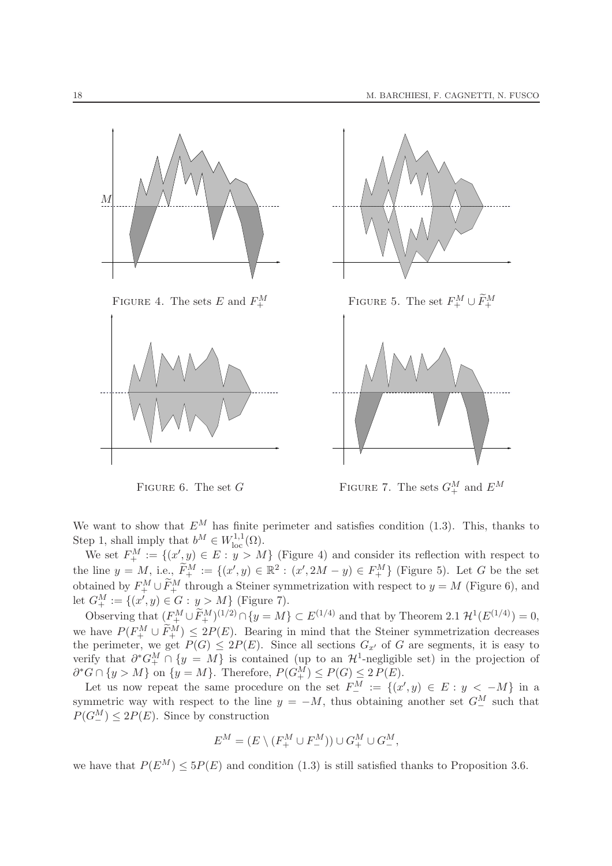

FIGURE 6. The set G FIGURE 7. The sets  $G^M_+$  and  $E^M$ 

We want to show that  $E^M$  has finite perimeter and satisfies condition (1.3). This, thanks to Step 1, shall imply that  $b^M \in W^{1,1}_{loc}(\Omega)$ .

We set  $F_+^M := \{(x', y) \in E : y > M\}$  (Figure 4) and consider its reflection with respect to the line  $y = M$ , i.e.,  $\widetilde{F}_+^M := \{(x', y) \in \mathbb{R}^2 : (x', 2M - y) \in F_+^M\}$  (Figure 5). Let G be the set obtained by  $F_+^M \cup \widetilde{F}_+^M$  through a Steiner symmetrization with respect to  $y = M$  (Figure 6), and let  $G^M_+ := \{(x', y) \in G : y > M\}$  (Figure 7).

Observing that  $(F_+^M \cup \widetilde{F}_+^M)^{(1/2)} \cap \{y = M\} \subset E^{(1/4)}$  and that by Theorem 2.1  $\mathcal{H}^1(E^{(1/4)}) = 0$ , we have  $P(F_+^M \cup \tilde{F}_+^M) \leq 2P(E)$ . Bearing in mind that the Steiner symmetrization decreases the perimeter, we get  $P(G) \leq 2P(E)$ . Since all sections  $G_{x'}$  of G are segments, it is easy to verify that  $\partial^* G^M_+ \cap \{y = M\}$  is contained (up to an  $\mathcal{H}^1$ -negligible set) in the projection of  $\partial^* G \cap \{y > M\}$  on  $\{y = M\}$ . Therefore,  $P(G_+^M) \leq P(G) \leq 2 P(E)$ .

Let us now repeat the same procedure on the set  $F_{-}^{M} := \{(x', y) \in E : y < -M\}$  in a symmetric way with respect to the line  $y = -M$ , thus obtaining another set  $G^M$  such that  $P(G_{-}^{M}) \leq 2P(E)$ . Since by construction

$$
E^M = (E \setminus (F_+^M \cup F_-^M)) \cup G_+^M \cup G_-^M,
$$

we have that  $P(E^M) \le 5P(E)$  and condition (1.3) is still satisfied thanks to Proposition 3.6.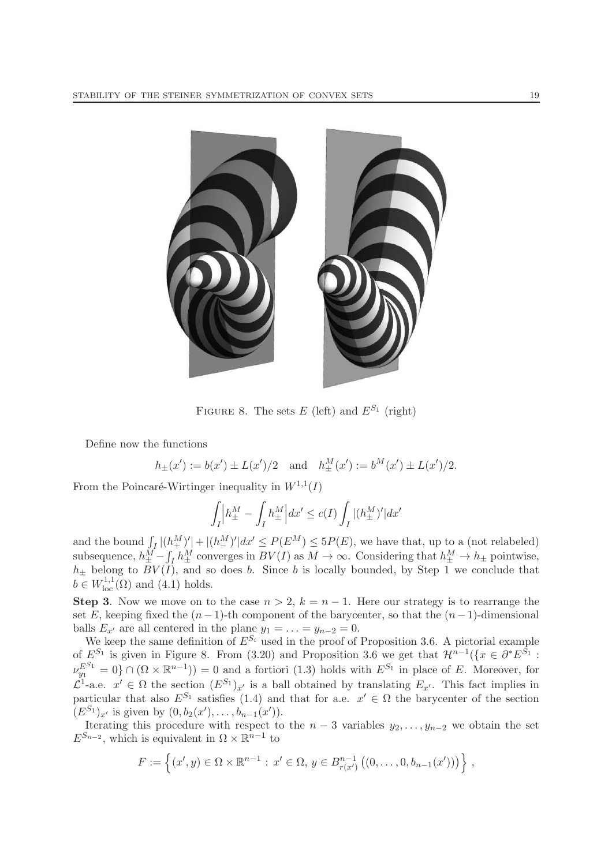

FIGURE 8. The sets E (left) and  $E^{S_1}$  (right)

Define now the functions

 $h_{\pm}(x') := b(x') \pm L(x')/2$  and  $h_{\pm}^{M}(x') := b^{M}(x') \pm L(x')/2$ .

From the Poincaré-Wirtinger inequality in  $W^{1,1}(I)$ 

$$
\int_I \Big| h^M_{\pm} - \int_I h^M_{\pm} \Big| dx' \le c(I) \int_I |(h^M_{\pm})'| dx'
$$

and the bound  $\int_I |(h_+^M)'| + |(h_-^M)'| dx' \le P(E^M) \le 5P(E)$ , we have that, up to a (not relabeled) subsequence,  $h_{\pm}^M - \int_I h_{\pm}^M$  converges in  $BV(I)$  as  $M \to \infty$ . Considering that  $h_{\pm}^M \to h_{\pm}$  pointwise,  $h_{\pm}$  belong to  $BV(I)$ , and so does b. Since b is locally bounded, by Step 1 we conclude that  $b \in W^{1,1}_{loc}(\Omega)$  and  $(4.1)$  holds.

Step 3. Now we move on to the case  $n > 2$ ,  $k = n - 1$ . Here our strategy is to rearrange the set E, keeping fixed the  $(n-1)$ -th component of the barycenter, so that the  $(n-1)$ -dimensional balls  $E_{x'}$  are all centered in the plane  $y_1 = \ldots = y_{n-2} = 0$ .

We keep the same definition of  $E^{S_i}$  used in the proof of Proposition 3.6. A pictorial example of  $E^{S_1}$  is given in Figure 8. From (3.20) and Proposition 3.6 we get that  $\mathcal{H}^{n-1}(\lbrace x \in \partial^* E^{S_1} : S \rbrace)$  $\nu_{y_1}^{E^{S_1}} = 0$   $\cap$   $(\Omega \times \mathbb{R}^{n-1})$  = 0 and a fortiori (1.3) holds with  $E^{S_1}$  in place of E. Moreover, for  $\mathcal{L}^1$ -a.e.  $x' \in \Omega$  the section  $(E^{S_1})_{x'}$  is a ball obtained by translating  $E_{x'}$ . This fact implies in particular that also  $E^{S_1}$  satisfies (1.4) and that for a.e.  $x' \in \Omega$  the barycenter of the section  $(E^{S_1})_{x'}$  is given by  $(0, b_2(x'), \ldots, b_{n-1}(x')).$ 

Iterating this procedure with respect to the  $n-3$  variables  $y_2, \ldots, y_{n-2}$  we obtain the set  $E^{S_{n-2}}$ , which is equivalent in  $\Omega \times \mathbb{R}^{n-1}$  to

$$
F := \left\{ (x', y) \in \Omega \times \mathbb{R}^{n-1} : x' \in \Omega, y \in B_{r(x')}^{n-1} ((0, \ldots, 0, b_{n-1}(x'))) \right\},\
$$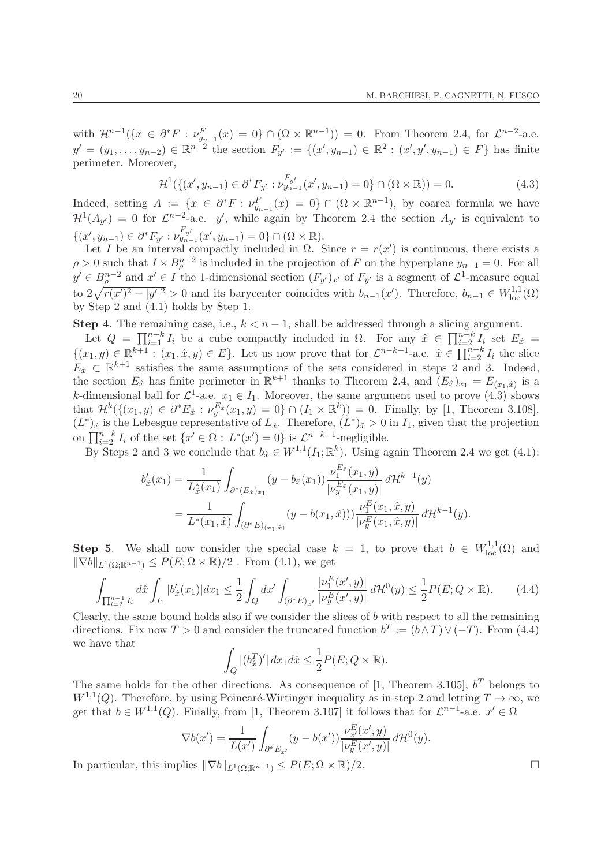with  $\mathcal{H}^{n-1}(\lbrace x \in \partial^*F : \nu_{y_{n-1}}^F(x) = 0 \rbrace \cap (\Omega \times \mathbb{R}^{n-1})) = 0$ . From Theorem 2.4, for  $\mathcal{L}^{n-2}$ -a.e.  $y' = (y_1, \ldots, y_{n-2}) \in \mathbb{R}^{n-2}$  the section  $F_{y'} := \{(x', y_{n-1}) \in \mathbb{R}^2 : (x', y', y_{n-1}) \in F\}$  has finite perimeter. Moreover,

$$
\mathcal{H}^1(\{(x', y_{n-1}) \in \partial^* F_{y'} : \nu_{y_{n-1}}^{F_{y'}}(x', y_{n-1}) = 0\} \cap (\Omega \times \mathbb{R})) = 0.
$$
\n(4.3)

Indeed, setting  $A := \{x \in \partial^* F : \nu_{y_{n-1}}^F(x) = 0\} \cap (\Omega \times \mathbb{R}^{n-1}),$  by coarea formula we have  $\mathcal{H}^1(A_{y'}) = 0$  for  $\mathcal{L}^{n-2}$ -a.e. y', while again by Theorem 2.4 the section  $A_{y'}$  is equivalent to  $\{(x', y_{n-1}) \in \partial^* F_{y'} : \nu_{y_{n-1}}^{F_{y'}}(x', y_{n-1}) = 0\} \cap (\Omega \times \mathbb{R}).$ 

Let I be an interval compactly included in  $\Omega$ . Since  $r = r(x')$  is continuous, there exists a  $\rho > 0$  such that  $I \times B_{\rho}^{n-2}$  is included in the projection of F on the hyperplane  $y_{n-1} = 0$ . For all  $y' \in B^{n-2}$  and  $x' \in I$  the 1-dimensional section  $(F_{y'})_{x'}$  of  $F_{y'}$  is a segment of  $\mathcal{L}^1$ -measure equal to  $2\sqrt{r(x')^2 - |y'|^2} > 0$  and its barycenter coincides with  $b_{n-1}(x')$ . Therefore,  $b_{n-1} \in W^{1,1}_{loc}(\Omega)$ by Step 2 and (4.1) holds by Step 1.

Step 4. The remaining case, i.e.,  $k < n - 1$ , shall be addressed through a slicing argument.

Let  $Q = \prod_{i=1}^{n-k} I_i$  be a cube compactly included in  $\Omega$ . For any  $\hat{x} \in \prod_{i=2}^{n-k} I_i$  set  $E_{\hat{x}} =$  $\{(x_1,y)\in\mathbb{R}^{k+1}:(x_1,\hat{x},y)\in E\}$ . Let us now prove that for  $\mathcal{L}^{n-k-1}$ -a.e.  $\hat{x}\in\prod_{i=2}^{n-k}I_i$  the slice  $E_{\hat{x}} \subset \mathbb{R}^{k+1}$  satisfies the same assumptions of the sets considered in steps 2 and 3. Indeed, the section  $E_{\hat{x}}$  has finite perimeter in  $\mathbb{R}^{k+1}$  thanks to Theorem 2.4, and  $(E_{\hat{x}})_{x_1} = E_{(x_1,\hat{x})}$  is a k-dimensional ball for  $\mathcal{L}^1$ -a.e.  $x_1 \in I_1$ . Moreover, the same argument used to prove (4.3) shows that  $\mathcal{H}^k(\{(x_1, y) \in \partial^* E_{\hat{x}} : \nu_y^{E_{\hat{x}}}(x_1, y) = 0\} \cap (I_1 \times \mathbb{R}^k)) = 0$ . Finally, by [1, Theorem 3.108],  $(L^*)_{\hat{x}}$  is the Lebesgue representative of  $L_{\hat{x}}$ . Therefore,  $(L^*)_{\hat{x}} > 0$  in  $I_1$ , given that the projection on  $\prod_{i=2}^{n-k} I_i$  of the set  $\{x' \in \Omega : L^*(x') = 0\}$  is  $\mathcal{L}^{n-k-1}$ -negligible.

By Steps 2 and 3 we conclude that  $b_{\hat{x}} \in W^{1,1}(I_1;\mathbb{R}^k)$ . Using again Theorem 2.4 we get (4.1):

$$
b'_{\hat{x}}(x_1) = \frac{1}{L_{\hat{x}}^*(x_1)} \int_{\partial^*(E_{\hat{x}})_{x_1}} (y - b_{\hat{x}}(x_1)) \frac{\nu_1^{E_{\hat{x}}}(x_1, y)}{|\nu_y^{E_{\hat{x}}}(x_1, y)|} d\mathcal{H}^{k-1}(y)
$$
  
= 
$$
\frac{1}{L^*(x_1, \hat{x})} \int_{(\partial^* E)_{(x_1, \hat{x})}} (y - b(x_1, \hat{x})) \frac{\nu_1^E(x_1, \hat{x}, y)}{|\nu_y^E(x_1, \hat{x}, y)|} d\mathcal{H}^{k-1}(y).
$$

**Step 5.** We shall now consider the special case  $k = 1$ , to prove that  $b \in W^{1,1}_{loc}(\Omega)$  and  $\|\nabla b\|_{L^1(\Omega;\mathbb{R}^{n-1})} \leq P(E;\Omega\times\mathbb{R})/2$ . From (4.1), we get

$$
\int_{\prod_{i=2}^{n-1} I_i} d\hat{x} \int_{I_1} |b'_{\hat{x}}(x_1)| dx_1 \le \frac{1}{2} \int_Q dx' \int_{(\partial^* E)_{x'}} \frac{|\nu_1^E(x', y)|}{|\nu_y^E(x', y)|} d\mathcal{H}^0(y) \le \frac{1}{2} P(E; Q \times \mathbb{R}). \tag{4.4}
$$

Clearly, the same bound holds also if we consider the slices of  $b$  with respect to all the remaining directions. Fix now  $T > 0$  and consider the truncated function  $b^T := (b \wedge T) \vee (-T)$ . From (4.4) we have that

$$
\int_{Q} |(b_{\hat{x}}^{T})'| dx_1 d\hat{x} \leq \frac{1}{2} P(E; Q \times \mathbb{R}).
$$

The same holds for the other directions. As consequence of [1, Theorem 3.105],  $b^T$  belongs to  $W^{1,1}(Q)$ . Therefore, by using Poincaré-Wirtinger inequality as in step 2 and letting  $T \to \infty$ , we get that  $b \in W^{1,1}(Q)$ . Finally, from [1, Theorem 3.107] it follows that for  $\mathcal{L}^{n-1}$ -a.e.  $x' \in \Omega$ 

$$
\nabla b(x') = \frac{1}{L(x')} \int_{\partial^* E_{x'}} (y - b(x')) \frac{\nu_{x'}^E(x', y)}{|\nu_y^E(x', y)|} d\mathcal{H}^0(y).
$$

In particular, this implies  $\|\nabla b\|_{L^1(\Omega;\mathbb{R}^{n-1})} \leq P(E; \Omega \times \mathbb{R})/2.$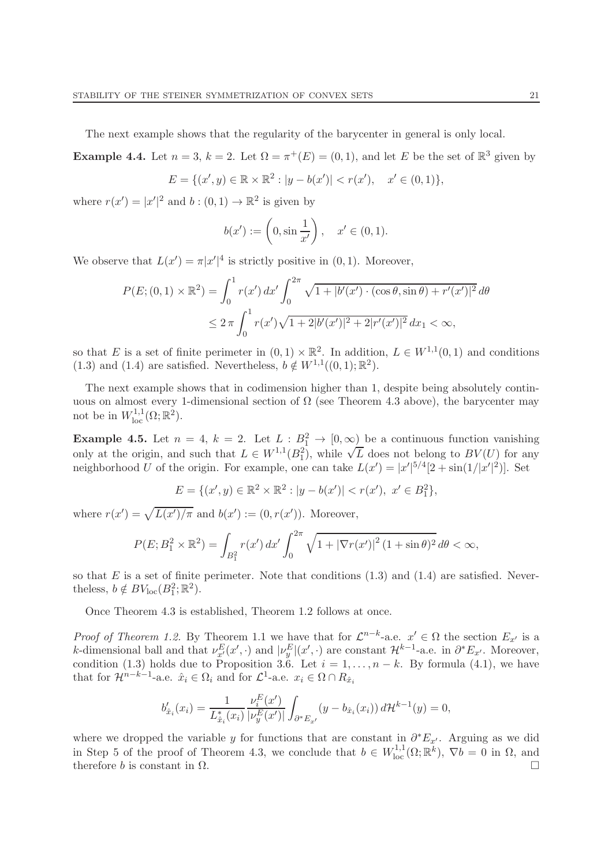The next example shows that the regularity of the barycenter in general is only local.

**Example 4.4.** Let  $n = 3$ ,  $k = 2$ . Let  $\Omega = \pi^+(E) = (0,1)$ , and let E be the set of  $\mathbb{R}^3$  given by

$$
E = \{(x', y) \in \mathbb{R} \times \mathbb{R}^2 : |y - b(x')| < r(x'), \quad x' \in (0, 1)\},
$$

where  $r(x') = |x'|^2$  and  $b : (0,1) \to \mathbb{R}^2$  is given by

$$
b(x') := \left(0, \sin \frac{1}{x'}\right), \quad x' \in (0, 1).
$$

We observe that  $L(x') = \pi |x'|^4$  is strictly positive in  $(0, 1)$ . Moreover,

$$
P(E; (0,1) \times \mathbb{R}^2) = \int_0^1 r(x') dx' \int_0^{2\pi} \sqrt{1 + |b'(x') \cdot (\cos \theta, \sin \theta) + r'(x')|^2} d\theta
$$
  

$$
\leq 2\pi \int_0^1 r(x') \sqrt{1 + 2|b'(x')|^2 + 2|r'(x')|^2} dx_1 < \infty,
$$

so that E is a set of finite perimeter in  $(0,1) \times \mathbb{R}^2$ . In addition,  $L \in W^{1,1}(0,1)$  and conditions (1.3) and (1.4) are satisfied. Nevertheless,  $b \notin W^{1,1}((0,1); \mathbb{R}^2)$ .

The next example shows that in codimension higher than 1, despite being absolutely continuous on almost every 1-dimensional section of  $\Omega$  (see Theorem 4.3 above), the barycenter may not be in  $W^{1,1}_{\text{loc}}(\Omega;\mathbb{R}^2)$ .

**Example 4.5.** Let  $n = 4$ ,  $k = 2$ . Let  $L : B_1^2 \to [0, \infty)$  be a continuous function vanishing only at the origin, and such that  $L \in W^{1,1}(B_1^2)$ , while  $\sqrt{L}$  does not belong to  $BV(U)$  for any neighborhood U of the origin. For example, one can take  $L(x') = |x'|^{5/4} [2 + \sin(1/|x'|^2)]$ . Set

$$
E = \{ (x', y) \in \mathbb{R}^2 \times \mathbb{R}^2 : |y - b(x')| < r(x'), \ x' \in B_1^2 \},
$$

where  $r(x') = \sqrt{L(x')/\pi}$  and  $b(x') := (0, r(x'))$ . Moreover,

$$
P(E; B_1^2 \times \mathbb{R}^2) = \int_{B_1^2} r(x') dx' \int_0^{2\pi} \sqrt{1 + |\nabla r(x')|^2 (1 + \sin \theta)^2} d\theta < \infty,
$$

so that  $E$  is a set of finite perimeter. Note that conditions  $(1.3)$  and  $(1.4)$  are satisfied. Nevertheless,  $b \notin BV_{\text{loc}}(B_1^2; \mathbb{R}^2)$ .

Once Theorem 4.3 is established, Theorem 1.2 follows at once.

Proof of Theorem 1.2. By Theorem 1.1 we have that for  $\mathcal{L}^{n-k}$ -a.e.  $x' \in \Omega$  the section  $E_{x'}$  is a k-dimensional ball and that  $\nu_x^E(x', \cdot)$  and  $|\nu_y^E|(x', \cdot)$  are constant  $\mathcal{H}^{k-1}$ -a.e. in  $\partial^* E_{x'}$ . Moreover, condition (1.3) holds due to Proposition 3.6. Let  $i = 1, ..., n - k$ . By formula (4.1), we have that for  $\mathcal{H}^{n-k-1}$ -a.e.  $\hat{x}_i \in \Omega_i$  and for  $\mathcal{L}^1$ -a.e.  $x_i \in \Omega \cap R_{\hat{x}_i}$ 

$$
b'_{\hat{x}_i}(x_i) = \frac{1}{L_{\hat{x}_i}^*(x_i)} \frac{\nu_i^E(x')}{|\nu_y^E(x')|} \int_{\partial^* E_{x'}} (y - b_{\hat{x}_i}(x_i)) d\mathcal{H}^{k-1}(y) = 0,
$$

where we dropped the variable y for functions that are constant in  $\partial^* E_{x'}$ . Arguing as we did in Step 5 of the proof of Theorem 4.3, we conclude that  $b \in W^{1,1}_{loc}(\Omega;\mathbb{R}^k)$ ,  $\nabla b = 0$  in  $\Omega$ , and therefore b is constant in  $\Omega$ .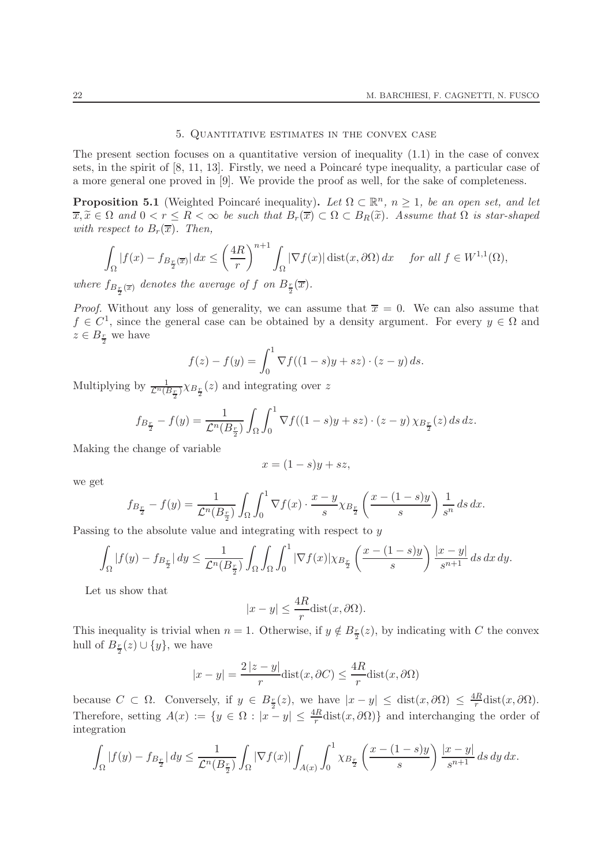#### 5. Quantitative estimates in the convex case

The present section focuses on a quantitative version of inequality  $(1.1)$  in the case of convex sets, in the spirit of  $[8, 11, 13]$ . Firstly, we need a Poincaré type inequality, a particular case of a more general one proved in [9]. We provide the proof as well, for the sake of completeness.

**Proposition 5.1** (Weighted Poincaré inequality). Let  $\Omega \subset \mathbb{R}^n$ ,  $n \geq 1$ , be an open set, and let  $\overline{x}, \widetilde{x} \in \Omega$  and  $0 < r \leq R < \infty$  be such that  $B_r(\overline{x}) \subset \Omega \subset B_R(\widetilde{x})$ . Assume that  $\Omega$  is star-shaped with respect to  $B_r(\overline{x})$ . Then,

$$
\int_{\Omega} |f(x) - f_{B_{\frac{r}{2}}(\overline{x})}| dx \le \left(\frac{4R}{r}\right)^{n+1} \int_{\Omega} |\nabla f(x)| \operatorname{dist}(x, \partial \Omega) dx \quad \text{for all } f \in W^{1,1}(\Omega),
$$

where  $f_{B_{\frac{r}{2}}(\overline{x})}$  denotes the average of f on  $B_{\frac{r}{2}}(\overline{x})$ .

*Proof.* Without any loss of generality, we can assume that  $\overline{x} = 0$ . We can also assume that  $f \in C^1$ , since the general case can be obtained by a density argument. For every  $y \in \Omega$  and  $z \in B_{\frac{r}{2}}$  we have

$$
f(z) - f(y) = \int_0^1 \nabla f((1 - s)y + sz) \cdot (z - y) \, ds.
$$

Multiplying by  $\frac{1}{\mathcal{L}^n(B_{\frac{r}{2}})} \chi_{B_{\frac{r}{2}}}(z)$  and integrating over z

$$
f_{B_{\frac{r}{2}}}-f(y)=\frac{1}{\mathcal{L}^n(B_{\frac{r}{2}})}\int_{\Omega}\int_0^1\nabla f((1-s)y+sz)\cdot(z-y)\,\chi_{B_{\frac{r}{2}}}(z)\,ds\,dz.
$$

Making the change of variable

$$
x = (1 - s)y + sz,
$$

we get

$$
f_{B_{\frac{r}{2}}}-f(y)=\frac{1}{\mathcal{L}^n(B_{\frac{r}{2}})}\int_{\Omega}\int_0^1\nabla f(x)\cdot\frac{x-y}{s}\chi_{B_{\frac{r}{2}}}\left(\frac{x-(1-s)y}{s}\right)\frac{1}{s^n}\,ds\,dx.
$$

Passing to the absolute value and integrating with respect to y

$$
\int_{\Omega} |f(y) - f_{B_{\frac{r}{2}}}| dy \leq \frac{1}{\mathcal{L}^n(B_{\frac{r}{2}})} \int_{\Omega} \int_{\Omega} \int_0^1 |\nabla f(x)| \chi_{B_{\frac{r}{2}}} \left( \frac{x - (1 - s)y}{s} \right) \frac{|x - y|}{s^{n+1}} ds dx dy.
$$

Let us show that

$$
|x-y|\leq \frac{4R}{r}{\rm dist}(x,\partial\Omega).
$$

This inequality is trivial when  $n = 1$ . Otherwise, if  $y \notin B_{\frac{r}{2}}(z)$ , by indicating with C the convex hull of  $B_{\frac{r}{2}}(z) \cup \{y\}$ , we have

$$
|x - y| = \frac{2|z - y|}{r} \text{dist}(x, \partial C) \le \frac{4R}{r} \text{dist}(x, \partial \Omega)
$$

because  $C \subset \Omega$ . Conversely, if  $y \in B_{\frac{r}{2}}(z)$ , we have  $|x-y| \leq \text{dist}(x, \partial \Omega) \leq \frac{4R}{r}$  $\frac{dR}{dr}$ dist $(x, \partial\Omega)$ . Therefore, setting  $A(x) := \{y \in \Omega : |x - y| \leq \frac{4R}{r} \text{dist}(x, \partial \Omega) \}$  and interchanging the order of integration

$$
\int_{\Omega} |f(y) - f_{B_{\frac{r}{2}}}| dy \leq \frac{1}{\mathcal{L}^n(B_{\frac{r}{2}})} \int_{\Omega} |\nabla f(x)| \int_{A(x)} \int_0^1 \chi_{B_{\frac{r}{2}}} \left( \frac{x - (1 - s)y}{s} \right) \frac{|x - y|}{s^{n+1}} ds dy dx.
$$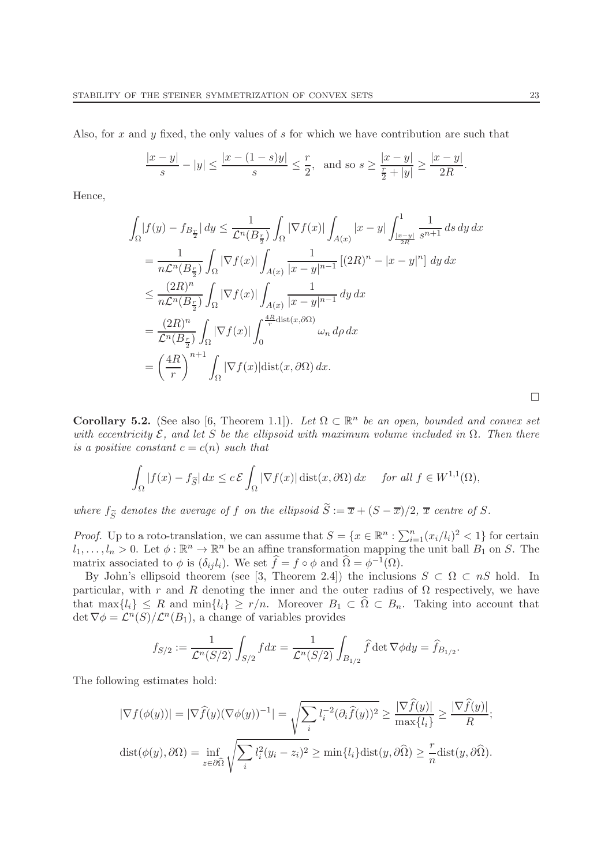Also, for x and y fixed, the only values of s for which we have contribution are such that

$$
\frac{|x-y|}{s} - |y| \le \frac{|x - (1-s)y|}{s} \le \frac{r}{2}, \text{ and so } s \ge \frac{|x-y|}{\frac{r}{2} + |y|} \ge \frac{|x-y|}{2R}.
$$

Hence,

$$
\int_{\Omega} |f(y) - f_{B_{\frac{r}{2}}}| dy \leq \frac{1}{\mathcal{L}^n(B_{\frac{r}{2}})} \int_{\Omega} |\nabla f(x)| \int_{A(x)} |x - y| \int_{\frac{|x - y|}{2R}}^1 \frac{1}{s^{n+1}} ds dy dx
$$
  
\n
$$
= \frac{1}{n\mathcal{L}^n(B_{\frac{r}{2}})} \int_{\Omega} |\nabla f(x)| \int_{A(x)} \frac{1}{|x - y|^{n-1}} [(2R)^n - |x - y|^n] dy dx
$$
  
\n
$$
\leq \frac{(2R)^n}{n\mathcal{L}^n(B_{\frac{r}{2}})} \int_{\Omega} |\nabla f(x)| \int_{A(x)} \frac{1}{|x - y|^{n-1}} dy dx
$$
  
\n
$$
= \frac{(2R)^n}{\mathcal{L}^n(B_{\frac{r}{2}})} \int_{\Omega} |\nabla f(x)| \int_{0}^{\frac{4R}{r} \text{dist}(x, \partial \Omega)} \omega_n d\rho dx
$$
  
\n
$$
= \left(\frac{4R}{r}\right)^{n+1} \int_{\Omega} |\nabla f(x)| \text{dist}(x, \partial \Omega) dx.
$$

**Corollary 5.2.** (See also [6, Theorem 1.1]). Let  $\Omega \subset \mathbb{R}^n$  be an open, bounded and convex set with eccentricity  $\mathcal{E}$ , and let S be the ellipsoid with maximum volume included in  $\Omega$ . Then there is a positive constant  $c = c(n)$  such that

$$
\int_{\Omega} |f(x) - f_{\widetilde{S}}| dx \le c \mathcal{E} \int_{\Omega} |\nabla f(x)| \operatorname{dist}(x, \partial \Omega) dx \quad \text{for all } f \in W^{1,1}(\Omega),
$$

where  $f_{\widetilde{S}}$  denotes the average of f on the ellipsoid  $S := \overline{x} + (S - \overline{x})/2$ ,  $\overline{x}$  centre of S.

*Proof.* Up to a roto-translation, we can assume that  $S = \{x \in \mathbb{R}^n : \sum_{i=1}^n (x_i/l_i)^2 < 1\}$  for certain  $l_1, \ldots, l_n > 0$ . Let  $\phi : \mathbb{R}^n \to \mathbb{R}^n$  be an affine transformation mapping the unit ball  $B_1$  on S. The matrix associated to  $\phi$  is  $(\delta_{ij} l_i)$ . We set  $\hat{f} = f \circ \phi$  and  $\hat{\Omega} = \phi^{-1}(\Omega)$ .

By John's ellipsoid theorem (see [3, Theorem 2.4]) the inclusions  $S \subset \Omega \subset nS$  hold. In particular, with r and R denoting the inner and the outer radius of  $\Omega$  respectively, we have that  $\max\{l_i\} \leq R$  and  $\min\{l_i\} \geq r/n$ . Moreover  $B_1 \subset \widehat{\Omega} \subset B_n$ . Taking into account that det  $\nabla \phi = \mathcal{L}^n(S)/\mathcal{L}^n(B_1)$ , a change of variables provides

$$
f_{S/2} := \frac{1}{\mathcal{L}^n(S/2)} \int_{S/2} f dx = \frac{1}{\mathcal{L}^n(S/2)} \int_{B_{1/2}} \widehat{f} \det \nabla \phi dy = \widehat{f}_{B_{1/2}}.
$$

The following estimates hold:

$$
|\nabla f(\phi(y))| = |\nabla \widehat{f}(y)(\nabla \phi(y))^{-1}| = \sqrt{\sum_{i} l_i^{-2} (\partial_i \widehat{f}(y))^2} \ge \frac{|\nabla \widehat{f}(y)|}{\max\{l_i\}} \ge \frac{|\nabla \widehat{f}(y)|}{R};
$$
  

$$
\text{dist}(\phi(y), \partial \Omega) = \inf_{z \in \partial \widehat{\Omega}} \sqrt{\sum_{i} l_i^2 (y_i - z_i)^2} \ge \min\{l_i\} \text{dist}(y, \partial \widehat{\Omega}) \ge \frac{r}{n} \text{dist}(y, \partial \widehat{\Omega}).
$$

 $\Box$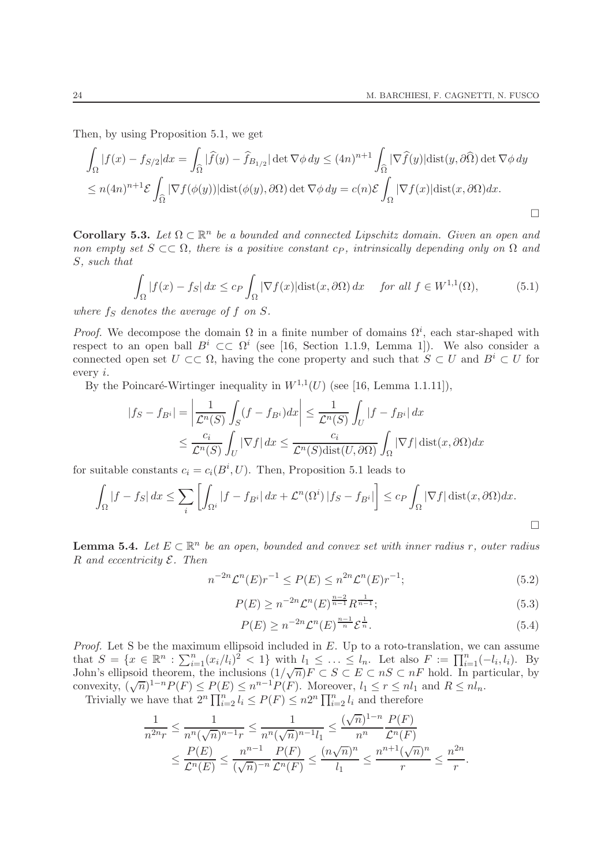Then, by using Proposition 5.1, we get

$$
\int_{\Omega} |f(x) - f_{S/2}| dx = \int_{\widehat{\Omega}} |\widehat{f}(y) - \widehat{f}_{B_{1/2}}| \det \nabla \phi \, dy \le (4n)^{n+1} \int_{\widehat{\Omega}} |\nabla \widehat{f}(y)| \text{dist}(y, \partial \widehat{\Omega}) \det \nabla \phi \, dy
$$
\n
$$
\le n(4n)^{n+1} \mathcal{E} \int_{\widehat{\Omega}} |\nabla f(\phi(y))| \text{dist}(\phi(y), \partial \Omega) \det \nabla \phi \, dy = c(n) \mathcal{E} \int_{\Omega} |\nabla f(x)| \text{dist}(x, \partial \Omega) dx.
$$

Corollary 5.3. Let  $\Omega \subset \mathbb{R}^n$  be a bounded and connected Lipschitz domain. Given an open and non empty set  $S \subset\subset \Omega$ , there is a positive constant  $c_P$ , intrinsically depending only on  $\Omega$  and S, such that

$$
\int_{\Omega} |f(x) - f_{S}| dx \leq c_{P} \int_{\Omega} |\nabla f(x)| \text{dist}(x, \partial \Omega) dx \quad \text{for all } f \in W^{1,1}(\Omega), \tag{5.1}
$$

where  $f_S$  denotes the average of f on  $S$ .

*Proof.* We decompose the domain  $\Omega$  in a finite number of domains  $\Omega^i$ , each star-shaped with respect to an open ball  $B^i \subset \subset \Omega^i$  (see [16, Section 1.1.9, Lemma 1]). We also consider a connected open set  $U \subset\subset \Omega$ , having the cone property and such that  $S \subset U$  and  $B^i \subset U$  for every i.

By the Poincaré-Wirtinger inequality in  $W^{1,1}(U)$  (see [16, Lemma 1.1.11]),

$$
|f_S - f_{B^i}| = \left| \frac{1}{\mathcal{L}^n(S)} \int_S (f - f_{B^i}) dx \right| \le \frac{1}{\mathcal{L}^n(S)} \int_U |f - f_{B^i}| dx
$$
  

$$
\le \frac{c_i}{\mathcal{L}^n(S)} \int_U |\nabla f| dx \le \frac{c_i}{\mathcal{L}^n(S) \text{dist}(U, \partial \Omega)} \int_\Omega |\nabla f| \text{dist}(x, \partial \Omega) dx
$$

for suitable constants  $c_i = c_i(B^i, U)$ . Then, Proposition 5.1 leads to

$$
\int_{\Omega} |f - f_S| dx \leq \sum_{i} \left[ \int_{\Omega^i} |f - f_{B^i}| dx + \mathcal{L}^n(\Omega^i) |f_S - f_{B^i}| \right] \leq c_P \int_{\Omega} |\nabla f| \operatorname{dist}(x, \partial \Omega) dx.
$$

**Lemma 5.4.** Let  $E \subset \mathbb{R}^n$  be an open, bounded and convex set with inner radius r, outer radius  $R$  and eccentricity  $\mathcal{E}$ . Then

$$
n^{-2n} \mathcal{L}^n(E) r^{-1} \le P(E) \le n^{2n} \mathcal{L}^n(E) r^{-1};\tag{5.2}
$$

$$
P(E) \ge n^{-2n} \mathcal{L}^n(E)^{\frac{n-2}{n-1}} R^{\frac{1}{n-1}};
$$
\n(5.3)

$$
P(E) \ge n^{-2n} \mathcal{L}^n(E)^{\frac{n-1}{n}} \mathcal{E}^{\frac{1}{n}}.
$$
\n
$$
(5.4)
$$

*Proof.* Let S be the maximum ellipsoid included in  $E$ . Up to a roto-translation, we can assume that  $S = \{x \in \mathbb{R}^n : \sum_{i=1}^n (x_i/l_i)^2 < 1\}$  with  $l_1 \leq \ldots \leq l_n$ . Let also  $F := \prod_{i=1}^n (-l_i, l_i)$ . By John's ellipsoid theorem, the inclusions  $(1/\sqrt{n})F \subset S \subset E \subset nS \subset nF$  hold. In particular, by convexity,  $(\sqrt{n})^{1-n}P(F) \le P(E) \le n^{n-1}P(F)$ . Moreover,  $l_1 \le r \le nl_1$  and  $R \le nl_n$ . Trivially we have that  $2^n \prod_{i=2}^n l_i \le P(F) \le n2^n \prod_{i=2}^n l_i$  and therefore

$$
\frac{1}{n^{2n}r} \le \frac{1}{n^n(\sqrt{n})^{n-1}r} \le \frac{1}{n^n(\sqrt{n})^{n-1}l_1} \le \frac{(\sqrt{n})^{1-n}}{n^n} \frac{P(F)}{\mathcal{L}^n(F)}
$$
  

$$
\le \frac{P(E)}{\mathcal{L}^n(E)} \le \frac{n^{n-1}}{(\sqrt{n})^{n}} \frac{P(F)}{\mathcal{L}^n(F)} \le \frac{(n\sqrt{n})^n}{l_1} \le \frac{n^{n+1}(\sqrt{n})^n}{r} \le \frac{n^{2n}}{r}.
$$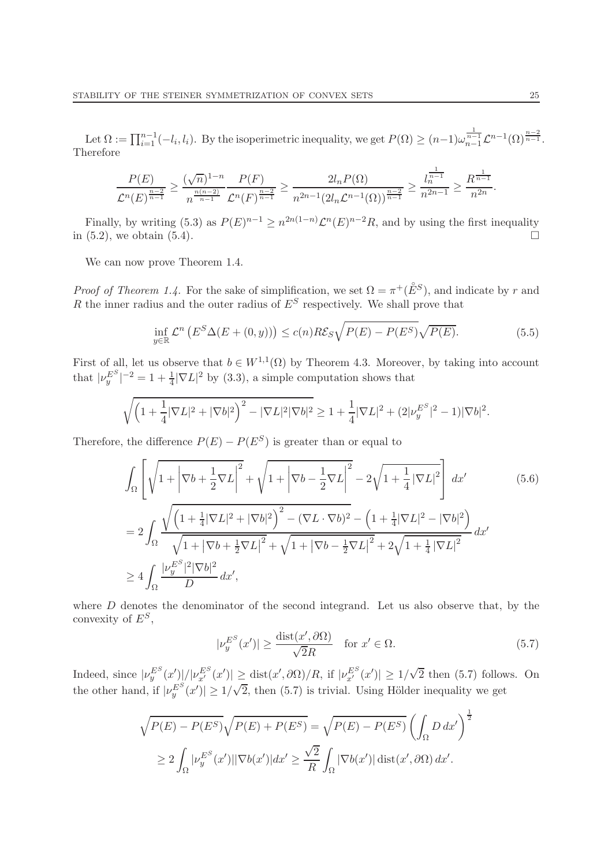Let  $\Omega := \prod_{i=1}^{n-1} (-l_i, l_i)$ . By the isoperimetric inequality, we get  $P(\Omega) \ge (n-1)\omega_{n-1}^{\frac{1}{n-1}} \mathcal{L}^{n-1}(\Omega)^{\frac{n-2}{n-1}}$ . Therefore

$$
\frac{P(E)}{\mathcal{L}^n(E)^{\frac{n-2}{n-1}}} \ge \frac{(\sqrt{n})^{1-n}}{n^{\frac{n(n-2)}{n-1}}} \frac{P(F)}{\mathcal{L}^n(F)^{\frac{n-2}{n-1}}} \ge \frac{2l_n P(\Omega)}{n^{2n-1} (2l_n \mathcal{L}^{n-1}(\Omega))^{\frac{n-2}{n-1}}} \ge \frac{l_n^{\frac{1}{n-1}}}{n^{2n-1}} \ge \frac{R^{\frac{1}{n-1}}}{n^{2n}}.
$$

Finally, by writing (5.3) as  $P(E)^{n-1} \geq n^{2n(1-n)} \mathcal{L}^n(E)^{n-2}R$ , and by using the first inequality in  $(5.2)$ , we obtain  $(5.4)$ .

We can now prove Theorem 1.4.

*Proof of Theorem 1.4.* For the sake of simplification, we set  $\Omega = \pi^+(\mathring{E}^S)$ , and indicate by r and R the inner radius and the outer radius of  $E^S$  respectively. We shall prove that

$$
\inf_{y \in \mathbb{R}} \mathcal{L}^n \left( E^S \Delta(E + (0, y)) \right) \le c(n) R \mathcal{E}_S \sqrt{P(E) - P(E^S)} \sqrt{P(E)}.
$$
\n(5.5)

First of all, let us observe that  $b \in W^{1,1}(\Omega)$  by Theorem 4.3. Moreover, by taking into account that  $|\nu_y^{E^S}|^{-2} = 1 + \frac{1}{4} |\nabla L|^2$  by (3.3), a simple computation shows that

$$
\sqrt{\left(1+\frac{1}{4}|\nabla L|^2+|\nabla b|^2\right)^2-|\nabla L|^2|\nabla b|^2}\geq 1+\frac{1}{4}|\nabla L|^2+(2|\nu_y^{E^S}|^2-1)|\nabla b|^2.
$$

Therefore, the difference  $P(E) - P(E^S)$  is greater than or equal to

$$
\int_{\Omega} \left[ \sqrt{1 + \left| \nabla b + \frac{1}{2} \nabla L \right|^{2}} + \sqrt{1 + \left| \nabla b - \frac{1}{2} \nabla L \right|^{2}} - 2\sqrt{1 + \frac{1}{4} \left| \nabla L \right|^{2}} \right] dx' \tag{5.6}
$$
\n
$$
= \sqrt{\left( 1 + \frac{1}{2} \left| \nabla L \right|^{2} + \left| \nabla b \right|^{2} \right)^{2} - \left( \nabla L \cdot \nabla b \right)^{2}} - \left( 1 + \frac{1}{2} \left| \nabla L \right|^{2} - \left| \nabla b \right|^{2} \right)
$$

$$
=2\int_{\Omega}\frac{\sqrt{(1+\frac{1}{4}|\nabla L|^2+|\nabla b|^2)}-\left(\nabla L\cdot\nabla b\right)^2-\left(1+\frac{1}{4}|\nabla L|^2-|\nabla b|^2\right)}{\sqrt{1+|\nabla b+\frac{1}{2}\nabla L|^2}+\sqrt{1+|\nabla b-\frac{1}{2}\nabla L|^2}+2\sqrt{1+\frac{1}{4}|\nabla L|^2}}\,dx' \geq 4\int_{\Omega}\frac{|\nu_{y}^{E^S}|^2|\nabla b|^2}{D}\,dx',
$$

where D denotes the denominator of the second integrand. Let us also observe that, by the convexity of  $E^S$ ,

$$
|\nu_y^{E^S}(x')| \ge \frac{\text{dist}(x', \partial \Omega)}{\sqrt{2}R} \quad \text{for } x' \in \Omega.
$$
 (5.7)

Indeed, since  $|\nu_y^{E^S}(x')|/|\nu_{x'}^{E^S}(x')| \geq \text{dist}(x',\partial\Omega)/R$ , if  $|\nu_{x'}^{E^S}(x')| \geq 1/\sqrt{2}$  then (5.7) follows. On the other hand, if  $|\nu_y^{E^S}(x')| \geq 1/\sqrt{2}$ , then (5.7) is trivial. Using Hölder inequality we get

$$
\sqrt{P(E) - P(E^S)} \sqrt{P(E) + P(E^S)} = \sqrt{P(E) - P(E^S)} \left( \int_{\Omega} D dx' \right)^{\frac{1}{2}}
$$
  
\n
$$
\geq 2 \int_{\Omega} |\nu_y^{E^S}(x')| |\nabla b(x')| dx' \geq \frac{\sqrt{2}}{R} \int_{\Omega} |\nabla b(x')| \operatorname{dist}(x', \partial \Omega) dx'.
$$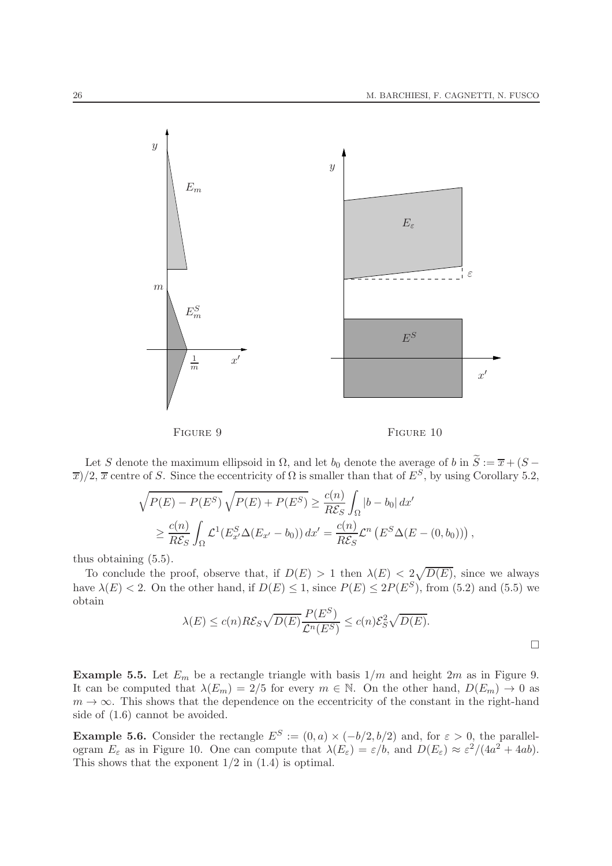

Let S denote the maximum ellipsoid in  $\Omega$ , and let  $b_0$  denote the average of b in  $\widetilde{S} := \overline{x} + (S \overline{x}$ )/2,  $\overline{x}$  centre of S. Since the eccentricity of  $\Omega$  is smaller than that of  $E^S$ , by using Corollary 5.2,

$$
\sqrt{P(E) - P(E^S)} \sqrt{P(E) + P(E^S)} \ge \frac{c(n)}{R\mathcal{E}_S} \int_{\Omega} |b - b_0| dx'
$$
  
\n
$$
\ge \frac{c(n)}{R\mathcal{E}_S} \int_{\Omega} \mathcal{L}^1(E_{x'}^S \Delta(E_{x'} - b_0)) dx' = \frac{c(n)}{R\mathcal{E}_S} \mathcal{L}^n (E^S \Delta(E - (0, b_0))),
$$

thus obtaining (5.5).

To conclude the proof, observe that, if  $D(E) > 1$  then  $\lambda(E) < 2\sqrt{D(E)}$ , since we always have  $\lambda(E) < 2$ . On the other hand, if  $D(E) \leq 1$ , since  $P(E) \leq 2P(E^S)$ , from (5.2) and (5.5) we obtain

$$
\lambda(E) \le c(n) R \mathcal{E}_S \sqrt{D(E)} \frac{P(E^S)}{\mathcal{L}^n(E^S)} \le c(n) \mathcal{E}_S^2 \sqrt{D(E)}.
$$

**Example 5.5.** Let  $E_m$  be a rectangle triangle with basis  $1/m$  and height  $2m$  as in Figure 9. It can be computed that  $\lambda(E_m) = 2/5$  for every  $m \in \mathbb{N}$ . On the other hand,  $D(E_m) \to 0$  as  $m \to \infty$ . This shows that the dependence on the eccentricity of the constant in the right-hand side of (1.6) cannot be avoided.

**Example 5.6.** Consider the rectangle  $E^S := (0, a) \times (-b/2, b/2)$  and, for  $\varepsilon > 0$ , the parallelogram  $E_{\varepsilon}$  as in Figure 10. One can compute that  $\lambda(E_{\varepsilon}) = \varepsilon/b$ , and  $D(E_{\varepsilon}) \approx \varepsilon^2/(4a^2 + 4ab)$ . This shows that the exponent  $1/2$  in  $(1.4)$  is optimal.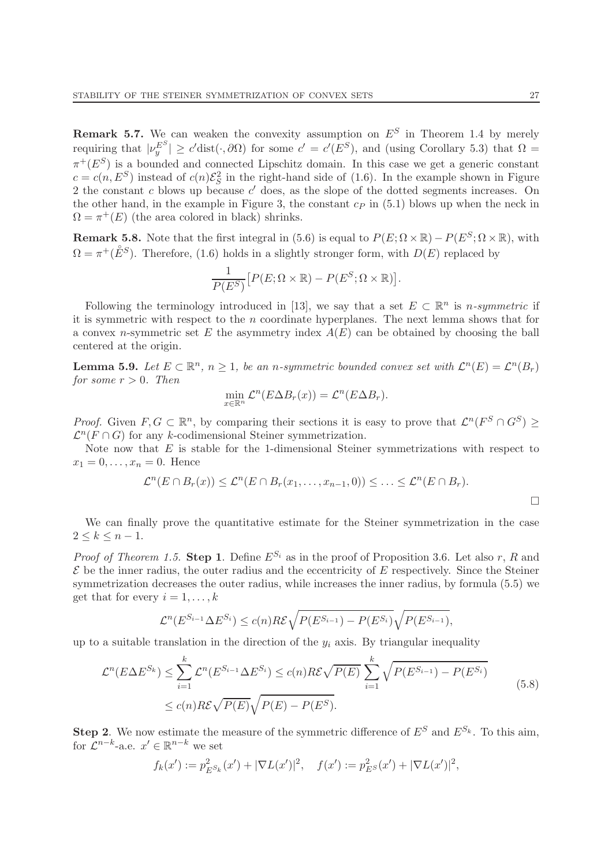**Remark 5.7.** We can weaken the convexity assumption on  $E^S$  in Theorem 1.4 by merely requiring that  $|\nu_y^{E^S}| \ge c'$ dist $(\cdot, \partial\Omega)$  for some  $c' = c'(E^S)$ , and (using Corollary 5.3) that  $\Omega =$  $\pi^+(E^S)$  is a bounded and connected Lipschitz domain. In this case we get a generic constant  $c = c(n, E<sup>S</sup>)$  instead of  $c(n)\mathcal{E}_S^2$  in the right-hand side of (1.6). In the example shown in Figure 2 the constant  $c$  blows up because  $c'$  does, as the slope of the dotted segments increases. On the other hand, in the example in Figure 3, the constant  $c_P$  in (5.1) blows up when the neck in  $\Omega = \pi^+(E)$  (the area colored in black) shrinks.

**Remark 5.8.** Note that the first integral in (5.6) is equal to  $P(E; \Omega \times \mathbb{R}) - P(E^S; \Omega \times \mathbb{R})$ , with  $\Omega = \pi^+(\mathring{E}^S)$ . Therefore, (1.6) holds in a slightly stronger form, with  $D(E)$  replaced by

$$
\frac{1}{P(E^S)}\big[P(E;\Omega\times\mathbb{R})-P(E^S;\Omega\times\mathbb{R})\big].
$$

Following the terminology introduced in [13], we say that a set  $E \subset \mathbb{R}^n$  is *n-symmetric* if it is symmetric with respect to the  $n$  coordinate hyperplanes. The next lemma shows that for a convex n-symmetric set E the asymmetry index  $A(E)$  can be obtained by choosing the ball centered at the origin.

**Lemma 5.9.** Let  $E \subset \mathbb{R}^n$ ,  $n \geq 1$ , be an n-symmetric bounded convex set with  $\mathcal{L}^n(E) = \mathcal{L}^n(B_r)$ for some  $r > 0$ . Then

$$
\min_{x \in \mathbb{R}^n} \mathcal{L}^n(E \Delta B_r(x)) = \mathcal{L}^n(E \Delta B_r).
$$

*Proof.* Given  $F, G \subset \mathbb{R}^n$ , by comparing their sections it is easy to prove that  $\mathcal{L}^n(F^S \cap G^S) \geq$  $\mathcal{L}^n(F \cap G)$  for any k-codimensional Steiner symmetrization.

Note now that  $E$  is stable for the 1-dimensional Steiner symmetrizations with respect to  $x_1 = 0, \ldots, x_n = 0$ . Hence

$$
\mathcal{L}^n(E \cap B_r(x)) \leq \mathcal{L}^n(E \cap B_r(x_1,\ldots,x_{n-1},0)) \leq \ldots \leq \mathcal{L}^n(E \cap B_r).
$$

We can finally prove the quantitative estimate for the Steiner symmetrization in the case  $2 \leq k \leq n-1$ .

*Proof of Theorem 1.5.* Step 1. Define  $E^{S_i}$  as in the proof of Proposition 3.6. Let also r, R and  $\mathcal E$  be the inner radius, the outer radius and the eccentricity of  $E$  respectively. Since the Steiner symmetrization decreases the outer radius, while increases the inner radius, by formula (5.5) we get that for every  $i = 1, \ldots, k$ 

$$
\mathcal{L}^n(E^{S_{i-1}}\Delta E^{S_i}) \le c(n)R\mathcal{E}\sqrt{P(E^{S_{i-1}})-P(E^{S_i})}\sqrt{P(E^{S_{i-1}})},
$$

up to a suitable translation in the direction of the  $y_i$  axis. By triangular inequality

$$
\mathcal{L}^n(E\Delta E^{S_k}) \le \sum_{i=1}^k \mathcal{L}^n(E^{S_{i-1}}\Delta E^{S_i}) \le c(n)R\mathcal{E}\sqrt{P(E)} \sum_{i=1}^k \sqrt{P(E^{S_{i-1}}) - P(E^{S_i})}
$$
  
 
$$
\le c(n)R\mathcal{E}\sqrt{P(E)}\sqrt{P(E) - P(E^{S})}.
$$
 (5.8)

**Step 2.** We now estimate the measure of the symmetric difference of  $E^S$  and  $E^{S_k}$ . To this aim, for  $\mathcal{L}^{n-k}$ -a.e.  $x' \in \mathbb{R}^{n-k}$  we set

$$
f_k(x') := p_{E^S k}^2(x') + |\nabla L(x')|^2, \quad f(x') := p_{E^S}^2(x') + |\nabla L(x')|^2,
$$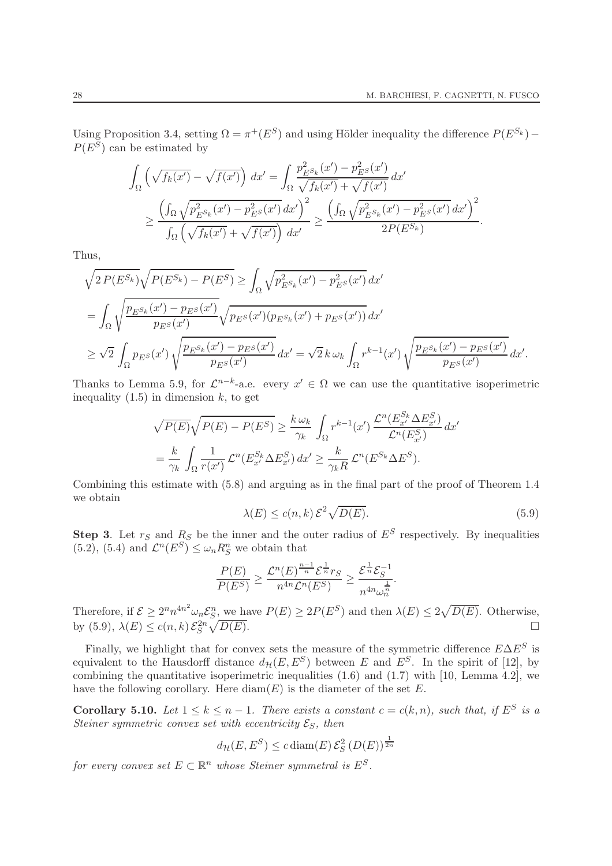.

Using Proposition 3.4, setting  $\Omega = \pi^+(E^S)$  and using Hölder inequality the difference  $P(E^{S_k}) P(E^S)$  can be estimated by

$$
\int_{\Omega} \left( \sqrt{f_k(x')} - \sqrt{f(x')} \right) dx' = \int_{\Omega} \frac{p_{E^S k}^2(x') - p_{E^S}^2(x')}{\sqrt{f_k(x')} + \sqrt{f(x')}} dx'
$$
\n
$$
\geq \frac{\left( \int_{\Omega} \sqrt{p_{E^S k}^2(x') - p_{E^S}^2(x')} dx' \right)^2}{\int_{\Omega} \left( \sqrt{f_k(x')} + \sqrt{f(x')} \right) dx'} \geq \frac{\left( \int_{\Omega} \sqrt{p_{E^S k}^2(x') - p_{E^S}^2(x')} dx' \right)^2}{2P(E^{S_k})}
$$

Thus,

$$
\sqrt{2 P(E^{S_k})} \sqrt{P(E^{S_k}) - P(E^{S})} \ge \int_{\Omega} \sqrt{p_{E^{S_k}}^2(x') - p_{E^{S}}^2(x')} dx'
$$
  
= 
$$
\int_{\Omega} \sqrt{\frac{p_{E^{S_k}}(x') - p_{E^{S}}(x')}{p_{E^{S}}(x')}} \sqrt{p_{E^{S}}(x')(p_{E^{S_k}}(x') + p_{E^{S}}(x'))} dx'
$$
  

$$
\ge \sqrt{2} \int_{\Omega} p_{E^{S}}(x') \sqrt{\frac{p_{E^{S_k}}(x') - p_{E^{S}}(x')}{p_{E^{S}}(x')}} dx' = \sqrt{2} k \omega_k \int_{\Omega} r^{k-1}(x') \sqrt{\frac{p_{E^{S_k}}(x') - p_{E^{S}}(x')}{p_{E^{S}}(x')}} dx'.
$$

Thanks to Lemma 5.9, for  $\mathcal{L}^{n-k}$ -a.e. every  $x' \in \Omega$  we can use the quantitative isoperimetric inequality  $(1.5)$  in dimension k, to get

$$
\sqrt{P(E)}\sqrt{P(E) - P(E^S)} \ge \frac{k\,\omega_k}{\gamma_k} \int_{\Omega} r^{k-1}(x') \, \frac{\mathcal{L}^n(E_{x'}^{S_k} \Delta E_{x'}^S)}{\mathcal{L}^n(E_{x'}^S)} \, dx' \n= \frac{k}{\gamma_k} \int_{\Omega} \frac{1}{r(x')} \mathcal{L}^n(E_{x'}^{S_k} \Delta E_{x'}^S) \, dx' \ge \frac{k}{\gamma_k R} \mathcal{L}^n(E_{x'}^{S_k} \Delta E^S).
$$

Combining this estimate with (5.8) and arguing as in the final part of the proof of Theorem 1.4 we obtain

$$
\lambda(E) \le c(n,k) \mathcal{E}^2 \sqrt{D(E)}.
$$
\n(5.9)

**Step 3**. Let  $r_S$  and  $R_S$  be the inner and the outer radius of  $E^S$  respectively. By inequalities  $(5.2)$ ,  $(5.4)$  and  $\mathcal{L}^n(E^S) \leq \omega_n R_S^n$  we obtain that

$$
\frac{P(E)}{P(E^S)} \ge \frac{\mathcal{L}^n(E)^{\frac{n-1}{n}} \mathcal{E}^{\frac{1}{n}} r_S}{n^{4n} \mathcal{L}^n(E^S)} \ge \frac{\mathcal{E}^{\frac{1}{n}} \mathcal{E}_S^{-1}}{n^{4n} \omega_n^{\frac{1}{n}}}.
$$

Therefore, if  $\mathcal{E} \ge 2^n n^{4n^2} \omega_n \mathcal{E}_S^n$ , we have  $P(E) \ge 2P(E^S)$  and then  $\lambda(E) \le 2\sqrt{D(E)}$ . Otherwise, by (5.9),  $\lambda(E) \le c(n,k) \mathcal{E}_S^{2n} \sqrt{\ }$  $\overline{D(E)}$ .

Finally, we highlight that for convex sets the measure of the symmetric difference  $E\Delta E^S$  is equivalent to the Hausdorff distance  $d_{\mathcal{H}}(E, E^S)$  between E and  $E^S$ . In the spirit of [12], by combining the quantitative isoperimetric inequalities  $(1.6)$  and  $(1.7)$  with [10, Lemma 4.2], we have the following corollary. Here  $\text{diam}(E)$  is the diameter of the set E.

**Corollary 5.10.** Let  $1 \leq k \leq n-1$ . There exists a constant  $c = c(k,n)$ , such that, if  $E^S$  is a Steiner symmetric convex set with eccentricity  $\mathcal{E}_S$ , then

$$
d_{\mathcal{H}}(E, E^S) \leq c \operatorname{diam}(E) \mathcal{E}_S^2(D(E))^{\frac{1}{2n}}
$$

for every convex set  $E \subset \mathbb{R}^n$  whose Steiner symmetral is  $E^S$ .